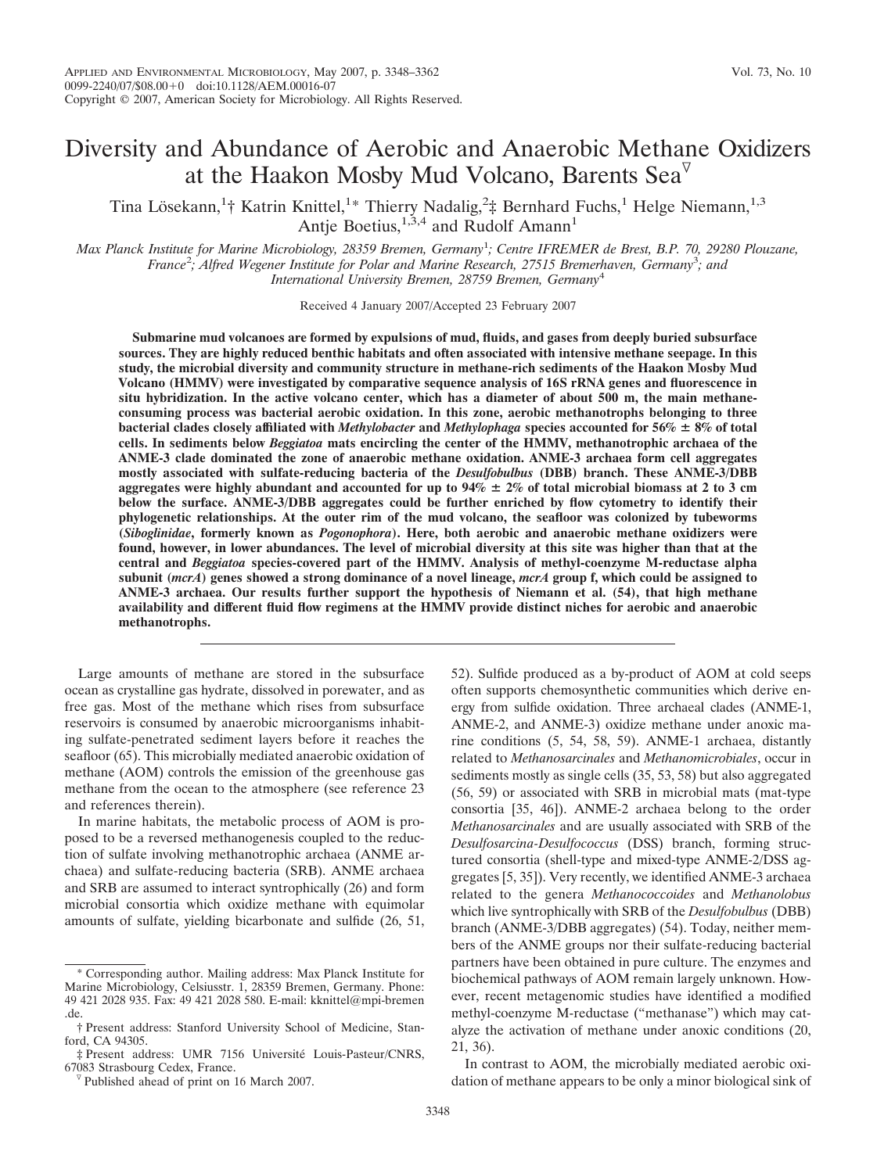# Diversity and Abundance of Aerobic and Anaerobic Methane Oxidizers at the Haakon Mosby Mud Volcano, Barents Sea $^{\nabla}$

Tina Lösekann,<sup>1</sup>† Katrin Knittel,<sup>1</sup>\* Thierry Nadalig,<sup>2</sup>‡ Bernhard Fuchs,<sup>1</sup> Helge Niemann,<sup>1,3</sup> Antje Boetius,<sup>1,3,4</sup> and Rudolf Amann<sup>1</sup>

*Max Planck Institute for Marine Microbiology, 28359 Bremen, Germany*<sup>1</sup> *; Centre IFREMER de Brest, B.P. 70, 29280 Plouzane,* France<sup>2</sup>; Alfred Wegener Institute for Polar and Marine Research, 27515 Bremerhaven, Germany<sup>3</sup>; and *International University Bremen, 28759 Bremen, Germany*<sup>4</sup>

Received 4 January 2007/Accepted 23 February 2007

**Submarine mud volcanoes are formed by expulsions of mud, fluids, and gases from deeply buried subsurface sources. They are highly reduced benthic habitats and often associated with intensive methane seepage. In this study, the microbial diversity and community structure in methane-rich sediments of the Haakon Mosby Mud Volcano (HMMV) were investigated by comparative sequence analysis of 16S rRNA genes and fluorescence in situ hybridization. In the active volcano center, which has a diameter of about 500 m, the main methaneconsuming process was bacterial aerobic oxidation. In this zone, aerobic methanotrophs belonging to three bacterial clades closely affiliated with** *Methylobacter* **and** *Methylophaga* **species accounted for 56% 8% of total cells. In sediments below** *Beggiatoa* **mats encircling the center of the HMMV, methanotrophic archaea of the ANME-3 clade dominated the zone of anaerobic methane oxidation. ANME-3 archaea form cell aggregates mostly associated with sulfate-reducing bacteria of the** *Desulfobulbus* **(DBB) branch. These ANME-3/DBB aggregates were highly abundant and accounted for up to 94% 2% of total microbial biomass at 2 to 3 cm below the surface. ANME-3/DBB aggregates could be further enriched by flow cytometry to identify their phylogenetic relationships. At the outer rim of the mud volcano, the seafloor was colonized by tubeworms (***Siboglinidae***, formerly known as** *Pogonophora***). Here, both aerobic and anaerobic methane oxidizers were found, however, in lower abundances. The level of microbial diversity at this site was higher than that at the central and** *Beggiatoa* **species-covered part of the HMMV. Analysis of methyl-coenzyme M-reductase alpha subunit (***mcrA***) genes showed a strong dominance of a novel lineage,** *mcrA* **group f, which could be assigned to ANME-3 archaea. Our results further support the hypothesis of Niemann et al. (54), that high methane availability and different fluid flow regimens at the HMMV provide distinct niches for aerobic and anaerobic methanotrophs.**

Large amounts of methane are stored in the subsurface ocean as crystalline gas hydrate, dissolved in porewater, and as free gas. Most of the methane which rises from subsurface reservoirs is consumed by anaerobic microorganisms inhabiting sulfate-penetrated sediment layers before it reaches the seafloor (65). This microbially mediated anaerobic oxidation of methane (AOM) controls the emission of the greenhouse gas methane from the ocean to the atmosphere (see reference 23 and references therein).

In marine habitats, the metabolic process of AOM is proposed to be a reversed methanogenesis coupled to the reduction of sulfate involving methanotrophic archaea (ANME archaea) and sulfate-reducing bacteria (SRB). ANME archaea and SRB are assumed to interact syntrophically (26) and form microbial consortia which oxidize methane with equimolar amounts of sulfate, yielding bicarbonate and sulfide (26, 51, 52). Sulfide produced as a by-product of AOM at cold seeps often supports chemosynthetic communities which derive energy from sulfide oxidation. Three archaeal clades (ANME-1, ANME-2, and ANME-3) oxidize methane under anoxic marine conditions (5, 54, 58, 59). ANME-1 archaea, distantly related to *Methanosarcinales* and *Methanomicrobiales*, occur in sediments mostly as single cells (35, 53, 58) but also aggregated (56, 59) or associated with SRB in microbial mats (mat-type consortia [35, 46]). ANME-2 archaea belong to the order *Methanosarcinales* and are usually associated with SRB of the *Desulfosarcina-Desulfococcus* (DSS) branch, forming structured consortia (shell-type and mixed-type ANME-2/DSS aggregates [5, 35]). Very recently, we identified ANME-3 archaea related to the genera *Methanococcoides* and *Methanolobus* which live syntrophically with SRB of the *Desulfobulbus* (DBB) branch (ANME-3/DBB aggregates) (54). Today, neither members of the ANME groups nor their sulfate-reducing bacterial partners have been obtained in pure culture. The enzymes and biochemical pathways of AOM remain largely unknown. However, recent metagenomic studies have identified a modified methyl-coenzyme M-reductase ("methanase") which may catalyze the activation of methane under anoxic conditions (20, 21, 36).

In contrast to AOM, the microbially mediated aerobic oxidation of methane appears to be only a minor biological sink of

<sup>\*</sup> Corresponding author. Mailing address: Max Planck Institute for Marine Microbiology, Celsiusstr. 1, 28359 Bremen, Germany. Phone: 49 421 2028 935. Fax: 49 421 2028 580. E-mail: kknittel@mpi-bremen .de.

<sup>†</sup> Present address: Stanford University School of Medicine, Stanford, CA 94305.

 $\ddagger$  Present address: UMR 7156 Université Louis-Pasteur/CNRS, 67083 Strasbourg Cedex, France.

 $\nabla$  Published ahead of print on 16 March 2007.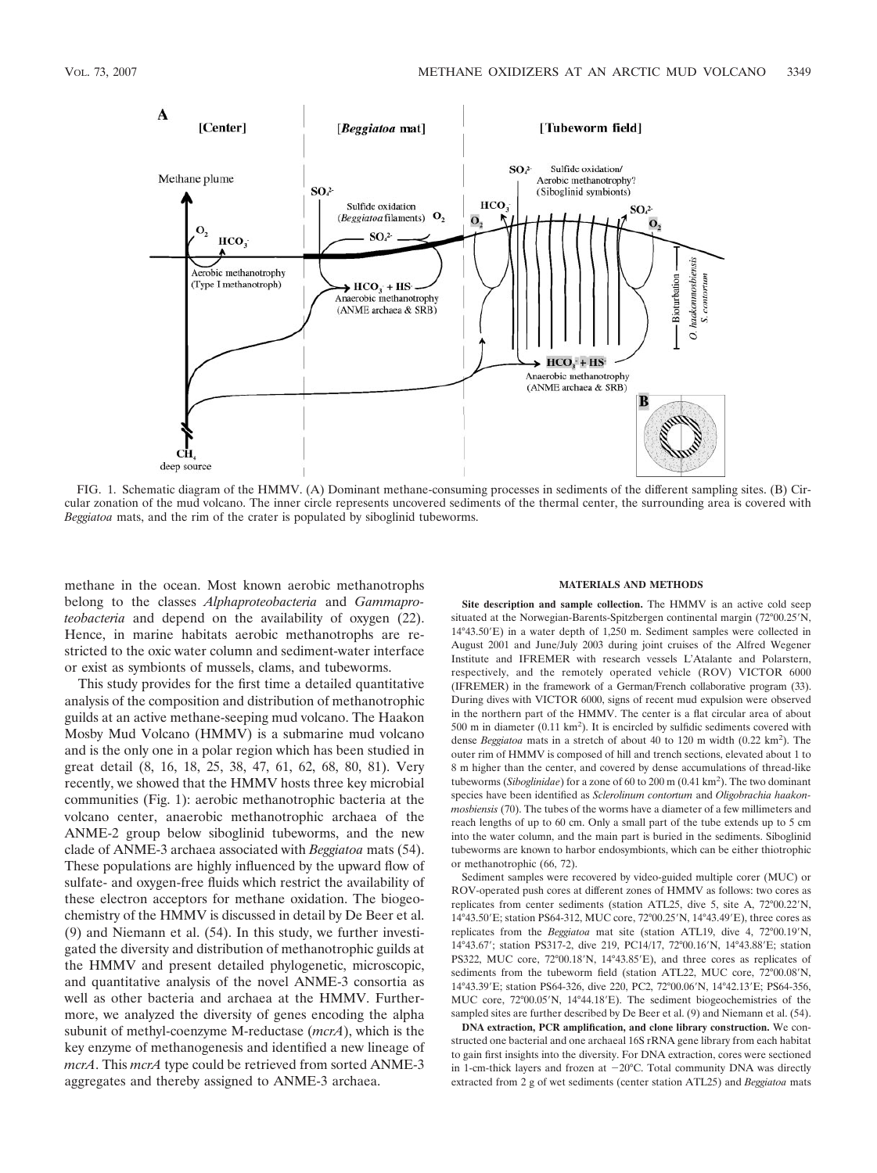

FIG. 1. Schematic diagram of the HMMV. (A) Dominant methane-consuming processes in sediments of the different sampling sites. (B) Circular zonation of the mud volcano. The inner circle represents uncovered sediments of the thermal center, the surrounding area is covered with *Beggiatoa* mats, and the rim of the crater is populated by siboglinid tubeworms.

methane in the ocean. Most known aerobic methanotrophs belong to the classes *Alphaproteobacteria* and *Gammaproteobacteria* and depend on the availability of oxygen (22). Hence, in marine habitats aerobic methanotrophs are restricted to the oxic water column and sediment-water interface or exist as symbionts of mussels, clams, and tubeworms.

This study provides for the first time a detailed quantitative analysis of the composition and distribution of methanotrophic guilds at an active methane-seeping mud volcano. The Haakon Mosby Mud Volcano (HMMV) is a submarine mud volcano and is the only one in a polar region which has been studied in great detail (8, 16, 18, 25, 38, 47, 61, 62, 68, 80, 81). Very recently, we showed that the HMMV hosts three key microbial communities (Fig. 1): aerobic methanotrophic bacteria at the volcano center, anaerobic methanotrophic archaea of the ANME-2 group below siboglinid tubeworms, and the new clade of ANME-3 archaea associated with *Beggiatoa* mats (54). These populations are highly influenced by the upward flow of sulfate- and oxygen-free fluids which restrict the availability of these electron acceptors for methane oxidation. The biogeochemistry of the HMMV is discussed in detail by De Beer et al. (9) and Niemann et al. (54). In this study, we further investigated the diversity and distribution of methanotrophic guilds at the HMMV and present detailed phylogenetic, microscopic, and quantitative analysis of the novel ANME-3 consortia as well as other bacteria and archaea at the HMMV. Furthermore, we analyzed the diversity of genes encoding the alpha subunit of methyl-coenzyme M-reductase (*mcrA*), which is the key enzyme of methanogenesis and identified a new lineage of *mcrA*. This *mcrA* type could be retrieved from sorted ANME-3 aggregates and thereby assigned to ANME-3 archaea.

#### **MATERIALS AND METHODS**

**Site description and sample collection.** The HMMV is an active cold seep situated at the Norwegian-Barents-Spitzbergen continental margin (72°00.25'N, 14°43.50'E) in a water depth of 1,250 m. Sediment samples were collected in August 2001 and June/July 2003 during joint cruises of the Alfred Wegener Institute and IFREMER with research vessels L'Atalante and Polarstern, respectively, and the remotely operated vehicle (ROV) VICTOR 6000 (IFREMER) in the framework of a German/French collaborative program (33). During dives with VICTOR 6000, signs of recent mud expulsion were observed in the northern part of the HMMV. The center is a flat circular area of about 500 m in diameter  $(0.11 \text{ km}^2)$ . It is encircled by sulfidic sediments covered with dense *Beggiatoa* mats in a stretch of about 40 to 120 m width (0.22 km<sup>2</sup> ). The outer rim of HMMV is composed of hill and trench sections, elevated about 1 to 8 m higher than the center, and covered by dense accumulations of thread-like tubeworms (*Siboglinidae*) for a zone of 60 to 200 m (0.41 km2 ). The two dominant species have been identified as *Sclerolinum contortum* and *Oligobrachia haakonmosbiensis* (70). The tubes of the worms have a diameter of a few millimeters and reach lengths of up to 60 cm. Only a small part of the tube extends up to 5 cm into the water column, and the main part is buried in the sediments. Siboglinid tubeworms are known to harbor endosymbionts, which can be either thiotrophic or methanotrophic (66, 72).

Sediment samples were recovered by video-guided multiple corer (MUC) or ROV-operated push cores at different zones of HMMV as follows: two cores as replicates from center sediments (station ATL25, dive 5, site A, 72°00.22′N, 14°43.50'E; station PS64-312, MUC core, 72°00.25'N, 14°43.49'E), three cores as replicates from the *Beggiatoa* mat site (station ATL19, dive 4, 72°00.19'N, 14°43.67'; station PS317-2, dive 219, PC14/17, 72°00.16'N, 14°43.88'E; station PS322, MUC core, 72°00.18'N, 14°43.85'E), and three cores as replicates of sediments from the tubeworm field (station ATL22, MUC core, 72°00.08'N, 14°43.39'E; station PS64-326, dive 220, PC2, 72°00.06'N, 14°42.13'E; PS64-356, MUC core, 72°00.05'N, 14°44.18'E). The sediment biogeochemistries of the sampled sites are further described by De Beer et al. (9) and Niemann et al. (54).

**DNA extraction, PCR amplification, and clone library construction.** We constructed one bacterial and one archaeal 16S rRNA gene library from each habitat to gain first insights into the diversity. For DNA extraction, cores were sectioned in 1-cm-thick layers and frozen at  $-20^{\circ}$ C. Total community DNA was directly extracted from 2 g of wet sediments (center station ATL25) and *Beggiatoa* mats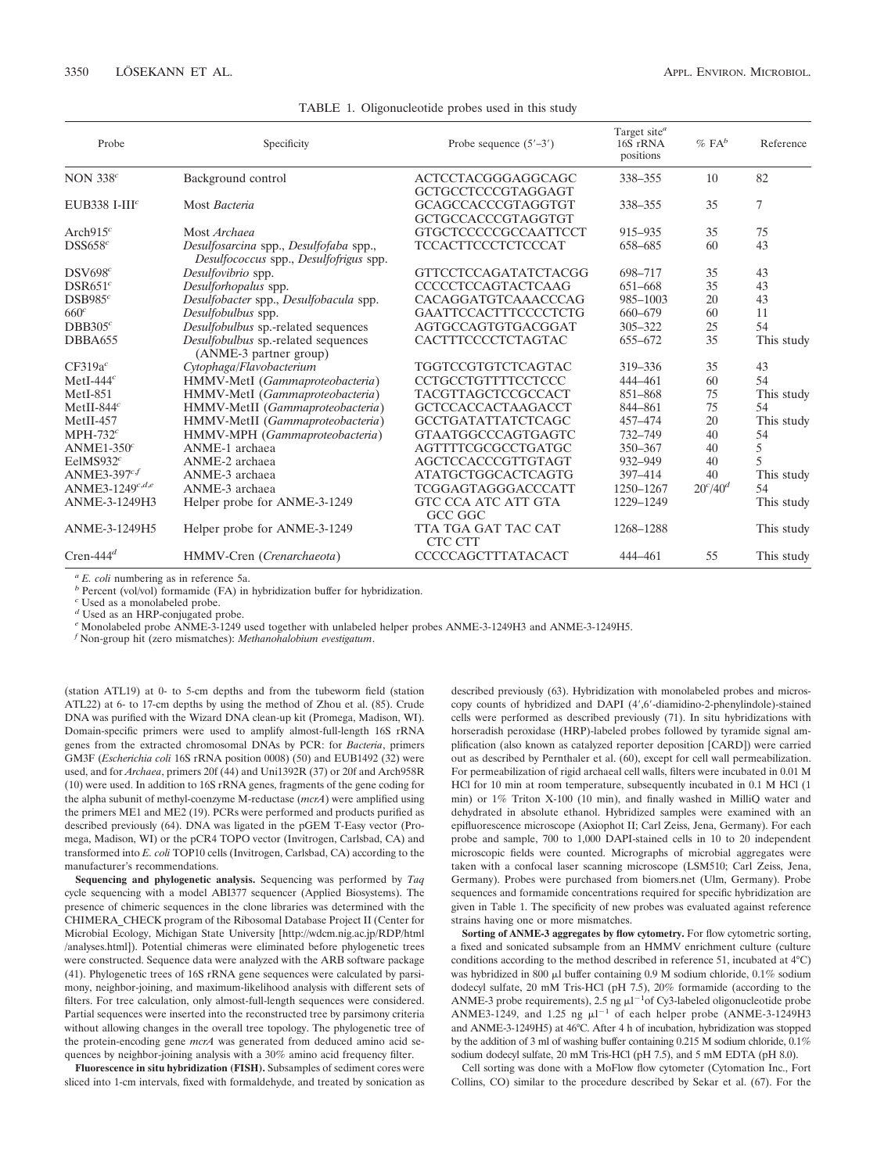| Probe                       | Specificity                                                                      | Probe sequence $(5'–3')$       | Target site <sup>a</sup><br>16S rRNA<br>positions | $\%$ FA <sup>b</sup> | Reference      |
|-----------------------------|----------------------------------------------------------------------------------|--------------------------------|---------------------------------------------------|----------------------|----------------|
| NON $338c$                  | Background control                                                               | ACTCCTACGGGAGGCAGC             | 338-355                                           | 10                   | 82             |
|                             |                                                                                  | GCTGCCTCCCGTAGGAGT             |                                                   |                      |                |
| EUB338 I-III $^c$           | Most Bacteria                                                                    | GCAGCCACCCGTAGGTGT             | 338-355                                           | 35                   | 7              |
|                             |                                                                                  | GCTGCCACCCGTAGGTGT             |                                                   |                      |                |
| Arch $915c$                 | Most <i>Archaea</i>                                                              | <b>GTGCTCCCCCGCCAATTCCT</b>    | 915-935                                           | 35                   | 75             |
| DSS658 <sup>c</sup>         | Desulfosarcina spp., Desulfofaba spp.,<br>Desulfococcus spp., Desulfofrigus spp. | TCCACTTCCCTCTCCCAT             | 658-685                                           | 60                   | 43             |
| DSV698 <sup>c</sup>         | Desulfovibrio spp.                                                               | GTTCCTCCAGATATCTACGG           | 698-717                                           | 35                   | 43             |
| DSR651 <sup>c</sup>         | Desulforhopalus spp.                                                             | <b>CCCCCTCCAGTACTCAAG</b>      | 651-668                                           | 35                   | 43             |
| DSB985 <sup>c</sup>         | Desulfobacter spp., Desulfobacula spp.                                           | CACAGGATGTCAAACCCAG            | 985-1003                                          | 20                   | 43             |
| 660 <sup>c</sup>            | Desulfobulbus spp.                                                               | <b>GAATTCCACTTTCCCCTCTG</b>    | 660-679                                           | 60                   | 11             |
| $DBB305^c$                  | Desulfobulbus sp.-related sequences                                              | AGTGCCAGTGTGACGGAT             | 305-322                                           | 25                   | 54             |
| DBBA655                     | Desulfobulbus sp.-related sequences<br>(ANME-3 partner group)                    | CACTTTCCCCTCTAGTAC             | 655-672                                           | 35                   | This study     |
| $CF319a^c$                  | Cytophaga/Flavobacterium                                                         | TGGTCCGTGTCTCAGTAC             | 319-336                                           | 35                   | 43             |
| MetI-444 $c$                | HMMV-MetI (Gammaproteobacteria)                                                  | CCTGCCTGTTTTCCTCCC             | 444-461                                           | 60                   | 54             |
| $MetI-851$                  | HMMV-MetI (Gammaproteobacteria)                                                  | TACGTTAGCTCCGCCACT             | 851-868                                           | 75                   | This study     |
| MetII-844 $c$               | HMMV-MetII (Gammaproteobacteria)                                                 | <b>GCTCCACCACTAAGACCT</b>      | 844-861                                           | 75                   | 54             |
| $MetII-457$                 | HMMV-MetII (Gammaproteobacteria)                                                 | <b>GCCTGATATTATCTCAGC</b>      | 457-474                                           | 20                   | This study     |
| MPH-732 $^c$                | HMMV-MPH (Gammaproteobacteria)                                                   | <b>GTAATGGCCCAGTGAGTC</b>      | 732-749                                           | 40                   | 54             |
| $ANME1-350c$                | ANME-1 archaea                                                                   | AGTTTTCGCGCCTGATGC             | 350-367                                           | 40                   | 5              |
| EelMS932 $c$                | ANME-2 archaea                                                                   | AGCTCCACCCGTTGTAGT             | 932-949                                           | 40                   | $\overline{5}$ |
| ANME3-397 $^{cf}$           | ANME-3 archaea                                                                   | <b>ATATGCTGGCACTCAGTG</b>      | 397-414                                           | 40                   | This study     |
| ANME3-1249 <sup>c,d,e</sup> | ANME-3 archaea                                                                   | TCGGAGTAGGGACCCATT             | 1250-1267                                         | $20^{c}/40^{d}$      | 54             |
| ANME-3-1249H3               | Helper probe for ANME-3-1249                                                     | GTC CCA ATC ATT GTA<br>GCC GGC | 1229-1249                                         |                      | This study     |
| ANME-3-1249H5               | Helper probe for ANME-3-1249                                                     | TTA TGA GAT TAC CAT<br>CTC CTT | 1268-1288                                         |                      | This study     |
| Cren-444 $d$                | HMMV-Cren (Crenarchaeota)                                                        | <b>CCCCCAGCTTTATACACT</b>      | 444-461                                           | 55                   | This study     |

#### TABLE 1. Oligonucleotide probes used in this study

*<sup>a</sup> E. coli* numbering as in reference 5a. *<sup>b</sup>* Percent (vol/vol) formamide (FA) in hybridization buffer for hybridization.

*<sup>c</sup>* Used as a monolabeled probe.

*<sup>d</sup>* Used as an HRP-conjugated probe.

*<sup>e</sup>* Monolabeled probe ANME-3-1249 used together with unlabeled helper probes ANME-3-1249H3 and ANME-3-1249H5.

*<sup>f</sup>* Non-group hit (zero mismatches): *Methanohalobium evestigatum*.

(station ATL19) at 0- to 5-cm depths and from the tubeworm field (station ATL22) at 6- to 17-cm depths by using the method of Zhou et al. (85). Crude DNA was purified with the Wizard DNA clean-up kit (Promega, Madison, WI). Domain-specific primers were used to amplify almost-full-length 16S rRNA genes from the extracted chromosomal DNAs by PCR: for *Bacteria*, primers GM3F (*Escherichia coli* 16S rRNA position 0008) (50) and EUB1492 (32) were used, and for *Archaea*, primers 20f (44) and Uni1392R (37) or 20f and Arch958R (10) were used. In addition to 16S rRNA genes, fragments of the gene coding for the alpha subunit of methyl-coenzyme M-reductase (*mcrA*) were amplified using the primers ME1 and ME2 (19). PCRs were performed and products purified as described previously (64). DNA was ligated in the pGEM T-Easy vector (Promega, Madison, WI) or the pCR4 TOPO vector (Invitrogen, Carlsbad, CA) and transformed into *E. coli* TOP10 cells (Invitrogen, Carlsbad, CA) according to the manufacturer's recommendations.

**Sequencing and phylogenetic analysis.** Sequencing was performed by *Taq* cycle sequencing with a model ABI377 sequencer (Applied Biosystems). The presence of chimeric sequences in the clone libraries was determined with the CHIMERA\_CHECK program of the Ribosomal Database Project II (Center for Microbial Ecology, Michigan State University [http://wdcm.nig.ac.jp/RDP/html /analyses.html]). Potential chimeras were eliminated before phylogenetic trees were constructed. Sequence data were analyzed with the ARB software package (41). Phylogenetic trees of 16S rRNA gene sequences were calculated by parsimony, neighbor-joining, and maximum-likelihood analysis with different sets of filters. For tree calculation, only almost-full-length sequences were considered. Partial sequences were inserted into the reconstructed tree by parsimony criteria without allowing changes in the overall tree topology. The phylogenetic tree of the protein-encoding gene *mcrA* was generated from deduced amino acid sequences by neighbor-joining analysis with a 30% amino acid frequency filter.

**Fluorescence in situ hybridization (FISH).** Subsamples of sediment cores were sliced into 1-cm intervals, fixed with formaldehyde, and treated by sonication as described previously (63). Hybridization with monolabeled probes and microscopy counts of hybridized and DAPI (4',6'-diamidino-2-phenylindole)-stained cells were performed as described previously (71). In situ hybridizations with horseradish peroxidase (HRP)-labeled probes followed by tyramide signal amplification (also known as catalyzed reporter deposition [CARD]) were carried out as described by Pernthaler et al. (60), except for cell wall permeabilization. For permeabilization of rigid archaeal cell walls, filters were incubated in 0.01 M HCl for 10 min at room temperature, subsequently incubated in 0.1 M HCl (1 min) or 1% Triton X-100 (10 min), and finally washed in MilliQ water and dehydrated in absolute ethanol. Hybridized samples were examined with an epifluorescence microscope (Axiophot II; Carl Zeiss, Jena, Germany). For each probe and sample, 700 to 1,000 DAPI-stained cells in 10 to 20 independent microscopic fields were counted. Micrographs of microbial aggregates were taken with a confocal laser scanning microscope (LSM510; Carl Zeiss, Jena, Germany). Probes were purchased from biomers.net (Ulm, Germany). Probe sequences and formamide concentrations required for specific hybridization are given in Table 1. The specificity of new probes was evaluated against reference strains having one or more mismatches.

**Sorting of ANME-3 aggregates by flow cytometry.** For flow cytometric sorting, a fixed and sonicated subsample from an HMMV enrichment culture (culture conditions according to the method described in reference 51, incubated at 4°C) was hybridized in 800  $\mu$ l buffer containing 0.9 M sodium chloride, 0.1% sodium dodecyl sulfate, 20 mM Tris-HCl (pH 7.5), 20% formamide (according to the ANME-3 probe requirements), 2.5 ng  $\mu$ l<sup>-1</sup>of Cy3-labeled oligonucleotide probe ANME3-1249, and 1.25 ng  $\mu$ 1<sup>-1</sup> of each helper probe (ANME-3-1249H3 and ANME-3-1249H5) at 46°C. After 4 h of incubation, hybridization was stopped by the addition of 3 ml of washing buffer containing 0.215 M sodium chloride, 0.1% sodium dodecyl sulfate, 20 mM Tris-HCl (pH 7.5), and 5 mM EDTA (pH 8.0).

Cell sorting was done with a MoFlow flow cytometer (Cytomation Inc., Fort Collins, CO) similar to the procedure described by Sekar et al. (67). For the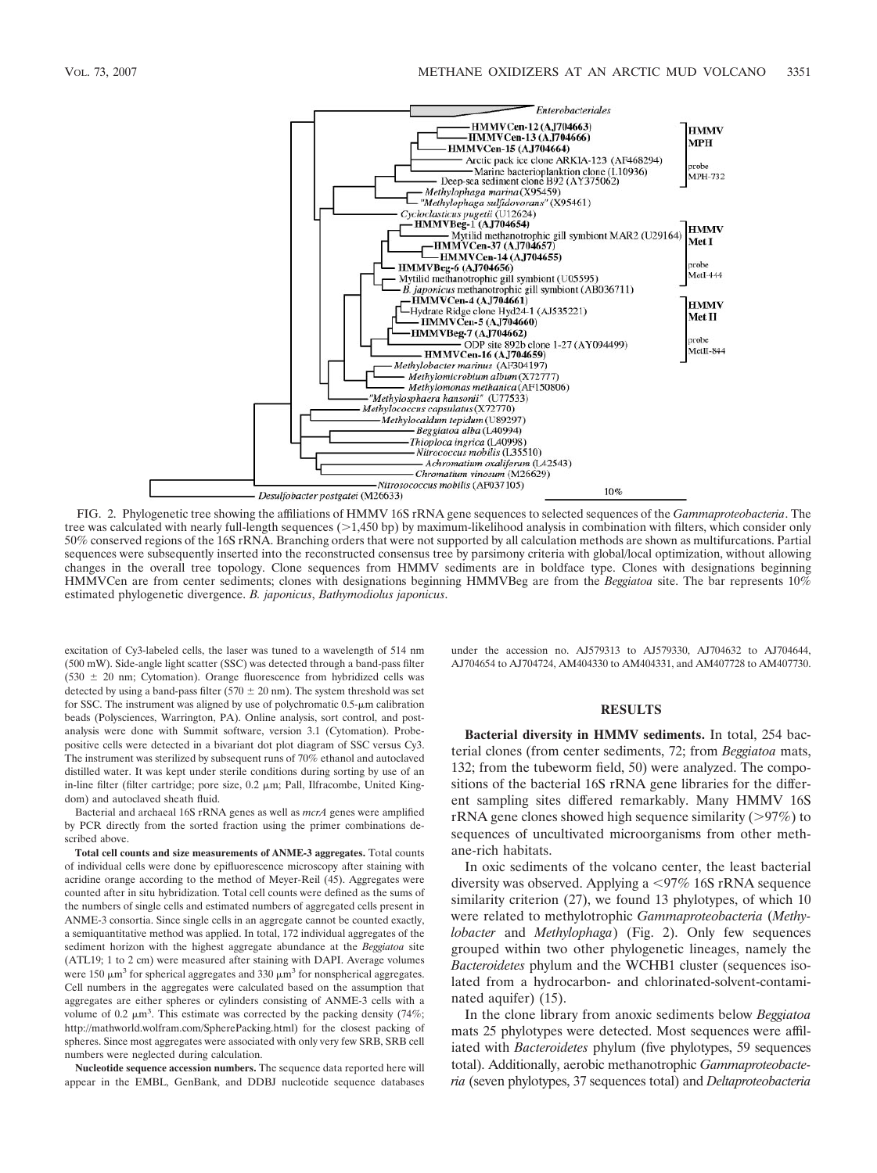

FIG. 2. Phylogenetic tree showing the affiliations of HMMV 16S rRNA gene sequences to selected sequences of the *Gammaproteobacteria*. The tree was calculated with nearly full-length sequences  $(>1,450$  bp) by maximum-likelihood analysis in combination with filters, which consider only 50% conserved regions of the 16S rRNA. Branching orders that were not supported by all calculation methods are shown as multifurcations. Partial sequences were subsequently inserted into the reconstructed consensus tree by parsimony criteria with global/local optimization, without allowing changes in the overall tree topology. Clone sequences from HMMV sediments are in boldface type. Clones with designations beginning HMMVCen are from center sediments; clones with designations beginning HMMVBeg are from the *Beggiatoa* site. The bar represents 10% estimated phylogenetic divergence. *B. japonicus*, *Bathymodiolus japonicus*.

excitation of Cy3-labeled cells, the laser was tuned to a wavelength of 514 nm (500 mW). Side-angle light scatter (SSC) was detected through a band-pass filter  $(530 \pm 20$  nm; Cytomation). Orange fluorescence from hybridized cells was detected by using a band-pass filter (570  $\pm$  20 nm). The system threshold was set for SSC. The instrument was aligned by use of polychromatic  $0.5$ - $\mu$ m calibration beads (Polysciences, Warrington, PA). Online analysis, sort control, and postanalysis were done with Summit software, version 3.1 (Cytomation). Probepositive cells were detected in a bivariant dot plot diagram of SSC versus Cy3. The instrument was sterilized by subsequent runs of 70% ethanol and autoclaved distilled water. It was kept under sterile conditions during sorting by use of an in-line filter (filter cartridge; pore size,  $0.2 \mu m$ ; Pall, Ilfracombe, United Kingdom) and autoclaved sheath fluid.

Bacterial and archaeal 16S rRNA genes as well as *mcrA* genes were amplified by PCR directly from the sorted fraction using the primer combinations described above.

**Total cell counts and size measurements of ANME-3 aggregates.** Total counts of individual cells were done by epifluorescence microscopy after staining with acridine orange according to the method of Meyer-Reil (45). Aggregates were counted after in situ hybridization. Total cell counts were defined as the sums of the numbers of single cells and estimated numbers of aggregated cells present in ANME-3 consortia. Since single cells in an aggregate cannot be counted exactly, a semiquantitative method was applied. In total, 172 individual aggregates of the sediment horizon with the highest aggregate abundance at the *Beggiatoa* site (ATL19; 1 to 2 cm) were measured after staining with DAPI. Average volumes were 150  $\mu$ m<sup>3</sup> for spherical aggregates and 330  $\mu$ m<sup>3</sup> for nonspherical aggregates. Cell numbers in the aggregates were calculated based on the assumption that aggregates are either spheres or cylinders consisting of ANME-3 cells with a volume of 0.2  $\mu$ m<sup>3</sup>. This estimate was corrected by the packing density (74%; http://mathworld.wolfram.com/SpherePacking.html) for the closest packing of spheres. Since most aggregates were associated with only very few SRB, SRB cell numbers were neglected during calculation.

**Nucleotide sequence accession numbers.** The sequence data reported here will appear in the EMBL, GenBank, and DDBJ nucleotide sequence databases under the accession no. AJ579313 to AJ579330, AJ704632 to AJ704644, AJ704654 to AJ704724, AM404330 to AM404331, and AM407728 to AM407730.

# **RESULTS**

**Bacterial diversity in HMMV sediments.** In total, 254 bacterial clones (from center sediments, 72; from *Beggiatoa* mats, 132; from the tubeworm field, 50) were analyzed. The compositions of the bacterial 16S rRNA gene libraries for the different sampling sites differed remarkably. Many HMMV 16S rRNA gene clones showed high sequence similarity  $(>97%)$  to sequences of uncultivated microorganisms from other methane-rich habitats.

In oxic sediments of the volcano center, the least bacterial diversity was observed. Applying a  $\langle 97\% \rangle$  16S rRNA sequence similarity criterion (27), we found 13 phylotypes, of which 10 were related to methylotrophic *Gammaproteobacteria* (*Methylobacter* and *Methylophaga*) (Fig. 2). Only few sequences grouped within two other phylogenetic lineages, namely the *Bacteroidetes* phylum and the WCHB1 cluster (sequences isolated from a hydrocarbon- and chlorinated-solvent-contaminated aquifer) (15).

In the clone library from anoxic sediments below *Beggiatoa* mats 25 phylotypes were detected. Most sequences were affiliated with *Bacteroidetes* phylum (five phylotypes, 59 sequences total). Additionally, aerobic methanotrophic *Gammaproteobacteria* (seven phylotypes, 37 sequences total) and *Deltaproteobacteria*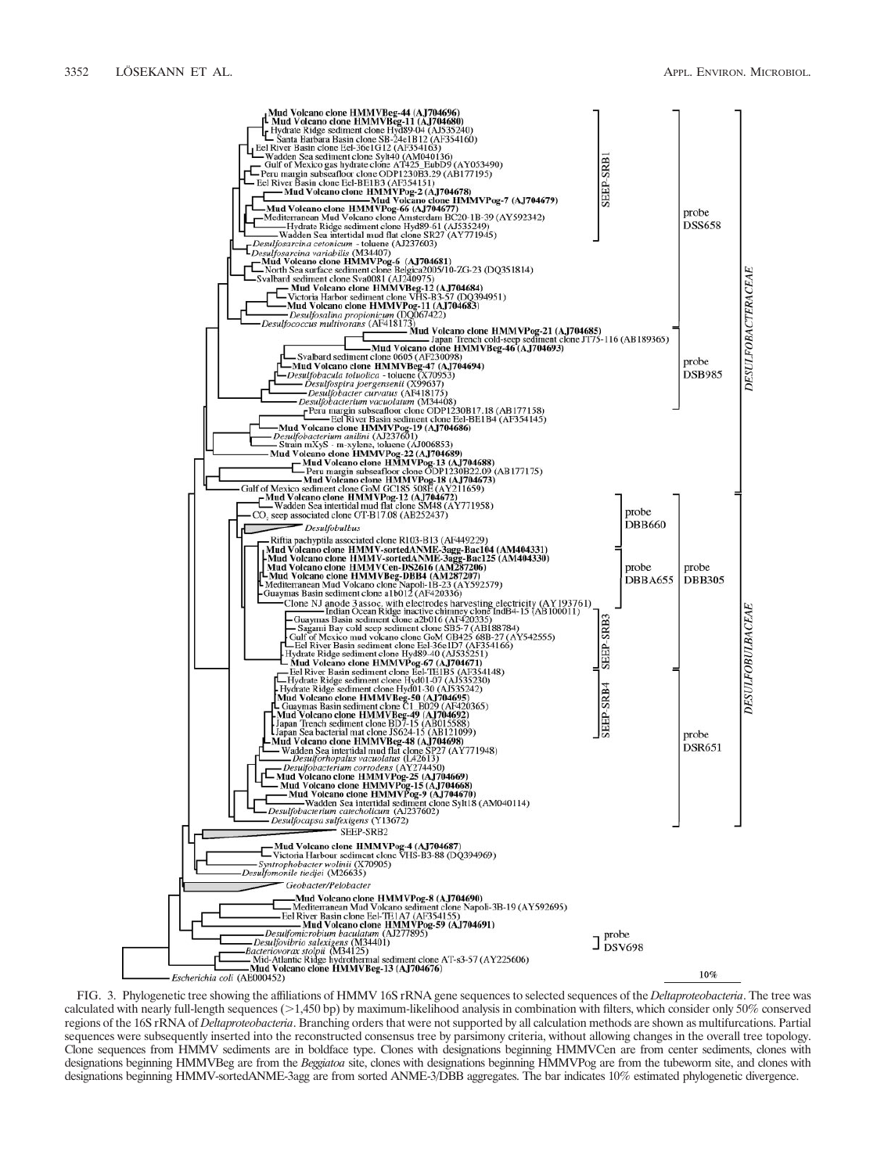

FIG. 3. Phylogenetic tree showing the affiliations of HMMV 16S rRNA gene sequences to selected sequences of the *Deltaproteobacteria*. The tree was calculated with nearly full-length sequences  $(>1,450$  bp) by maximum-likelihood analysis in combination with filters, which consider only 50% conserved regions of the 16S rRNA of *Deltaproteobacteria*. Branching orders that were not supported by all calculation methods are shown as multifurcations. Partial sequences were subsequently inserted into the reconstructed consensus tree by parsimony criteria, without allowing changes in the overall tree topology. Clone sequences from HMMV sediments are in boldface type. Clones with designations beginning HMMVCen are from center sediments, clones with designations beginning HMMVBeg are from the *Beggiatoa* site, clones with designations beginning HMMVPog are from the tubeworm site, and clones with designations beginning HMMV-sortedANME-3agg are from sorted ANME-3/DBB aggregates. The bar indicates 10% estimated phylogenetic divergence.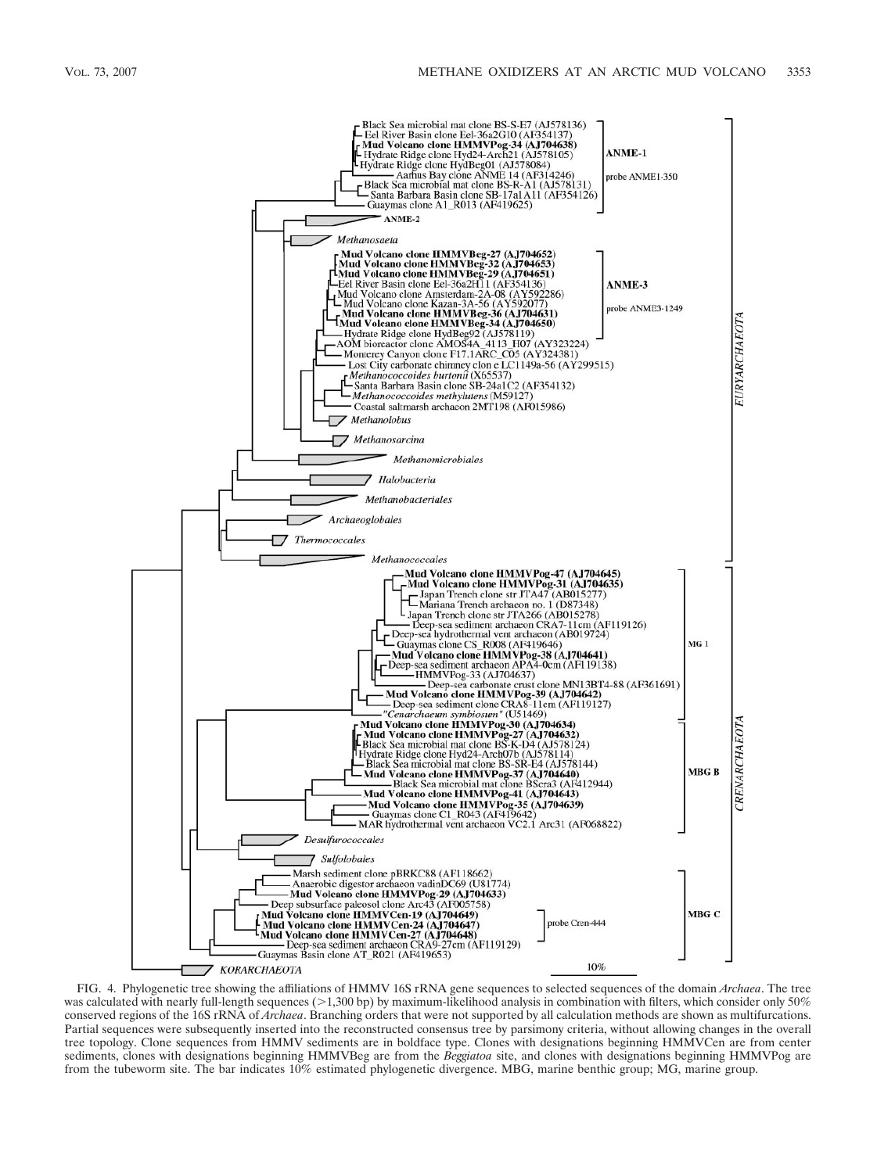

FIG. 4. Phylogenetic tree showing the affiliations of HMMV 16S rRNA gene sequences to selected sequences of the domain *Archaea*. The tree was calculated with nearly full-length sequences ( $>1,300$  bp) by maximum-likelihood analysis in combination with filters, which consider only 50% conserved regions of the 16S rRNA of *Archaea*. Branching orders that were not supported by all calculation methods are shown as multifurcations. Partial sequences were subsequently inserted into the reconstructed consensus tree by parsimony criteria, without allowing changes in the overall tree topology. Clone sequences from HMMV sediments are in boldface type. Clones with designations beginning HMMVCen are from center sediments, clones with designations beginning HMMVBeg are from the *Beggiatoa* site, and clones with designations beginning HMMVPog are from the tubeworm site. The bar indicates 10% estimated phylogenetic divergence. MBG, marine benthic group; MG, marine group.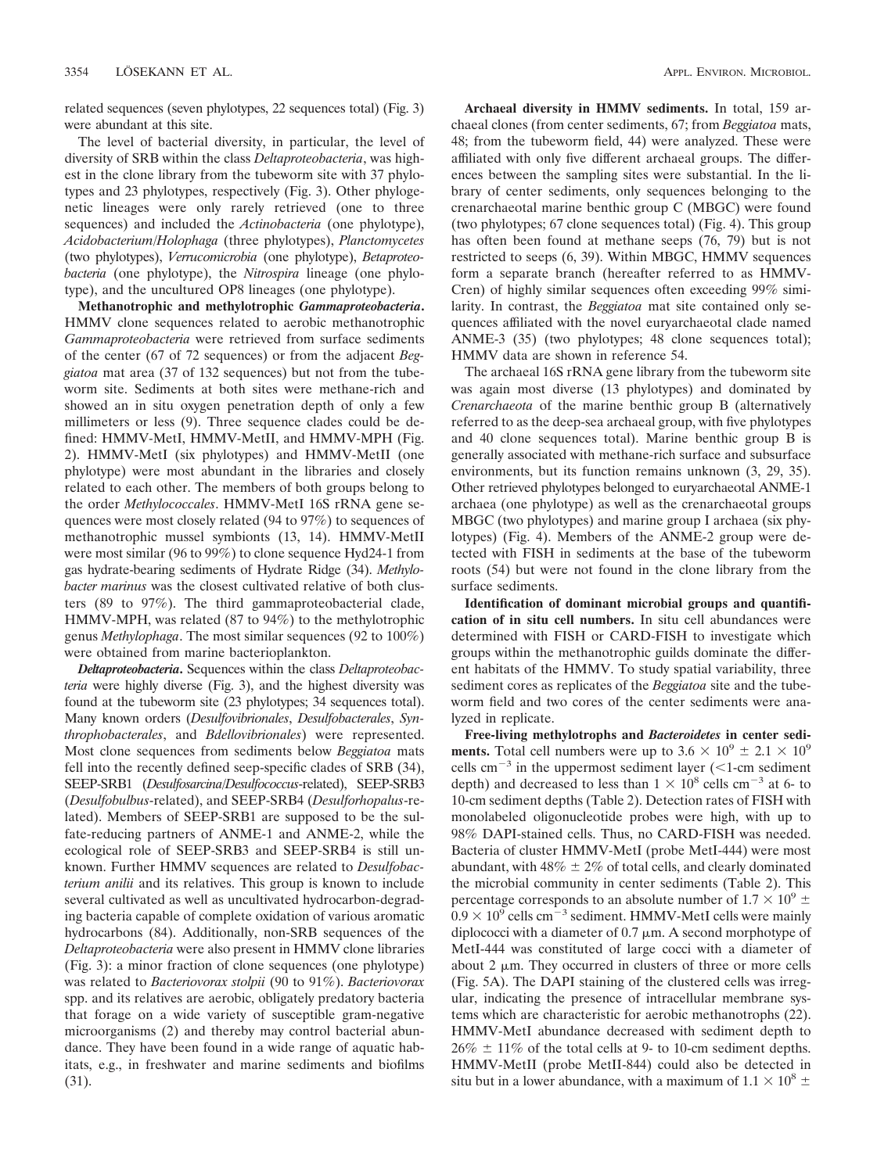related sequences (seven phylotypes, 22 sequences total) (Fig. 3) were abundant at this site.

The level of bacterial diversity, in particular, the level of diversity of SRB within the class *Deltaproteobacteria*, was highest in the clone library from the tubeworm site with 37 phylotypes and 23 phylotypes, respectively (Fig. 3). Other phylogenetic lineages were only rarely retrieved (one to three sequences) and included the *Actinobacteria* (one phylotype), *Acidobacterium/Holophaga* (three phylotypes), *Planctomycetes* (two phylotypes), *Verrucomicrobia* (one phylotype), *Betaproteobacteria* (one phylotype), the *Nitrospira* lineage (one phylotype), and the uncultured OP8 lineages (one phylotype).

**Methanotrophic and methylotrophic** *Gammaproteobacteria***.** HMMV clone sequences related to aerobic methanotrophic *Gammaproteobacteria* were retrieved from surface sediments of the center (67 of 72 sequences) or from the adjacent *Beggiatoa* mat area (37 of 132 sequences) but not from the tubeworm site. Sediments at both sites were methane-rich and showed an in situ oxygen penetration depth of only a few millimeters or less (9). Three sequence clades could be defined: HMMV-MetI, HMMV-MetII, and HMMV-MPH (Fig. 2). HMMV-MetI (six phylotypes) and HMMV-MetII (one phylotype) were most abundant in the libraries and closely related to each other. The members of both groups belong to the order *Methylococcales*. HMMV-MetI 16S rRNA gene sequences were most closely related (94 to 97%) to sequences of methanotrophic mussel symbionts (13, 14). HMMV-MetII were most similar (96 to 99%) to clone sequence Hyd24-1 from gas hydrate-bearing sediments of Hydrate Ridge (34). *Methylobacter marinus* was the closest cultivated relative of both clusters (89 to 97%). The third gammaproteobacterial clade, HMMV-MPH, was related (87 to 94%) to the methylotrophic genus *Methylophaga*. The most similar sequences (92 to 100%) were obtained from marine bacterioplankton.

*Deltaproteobacteria***.** Sequences within the class *Deltaproteobacteria* were highly diverse (Fig. 3), and the highest diversity was found at the tubeworm site (23 phylotypes; 34 sequences total). Many known orders (*Desulfovibrionales*, *Desulfobacterales*, *Synthrophobacterales*, and *Bdellovibrionales*) were represented. Most clone sequences from sediments below *Beggiatoa* mats fell into the recently defined seep-specific clades of SRB (34), SEEP-SRB1 (*Desulfosarcina/Desulfococcus*-related), SEEP-SRB3 (*Desulfobulbus*-related), and SEEP-SRB4 (*Desulforhopalus*-related). Members of SEEP-SRB1 are supposed to be the sulfate-reducing partners of ANME-1 and ANME-2, while the ecological role of SEEP-SRB3 and SEEP-SRB4 is still unknown. Further HMMV sequences are related to *Desulfobacterium anilii* and its relatives. This group is known to include several cultivated as well as uncultivated hydrocarbon-degrading bacteria capable of complete oxidation of various aromatic hydrocarbons (84). Additionally, non-SRB sequences of the *Deltaproteobacteria* were also present in HMMV clone libraries (Fig. 3): a minor fraction of clone sequences (one phylotype) was related to *Bacteriovorax stolpii* (90 to 91%). *Bacteriovorax* spp. and its relatives are aerobic, obligately predatory bacteria that forage on a wide variety of susceptible gram-negative microorganisms (2) and thereby may control bacterial abundance. They have been found in a wide range of aquatic habitats, e.g., in freshwater and marine sediments and biofilms (31).

**Archaeal diversity in HMMV sediments.** In total, 159 archaeal clones (from center sediments, 67; from *Beggiatoa* mats, 48; from the tubeworm field, 44) were analyzed. These were affiliated with only five different archaeal groups. The differences between the sampling sites were substantial. In the library of center sediments, only sequences belonging to the crenarchaeotal marine benthic group C (MBGC) were found (two phylotypes; 67 clone sequences total) (Fig. 4). This group has often been found at methane seeps (76, 79) but is not restricted to seeps (6, 39). Within MBGC, HMMV sequences form a separate branch (hereafter referred to as HMMV-Cren) of highly similar sequences often exceeding 99% similarity. In contrast, the *Beggiatoa* mat site contained only sequences affiliated with the novel euryarchaeotal clade named ANME-3 (35) (two phylotypes; 48 clone sequences total); HMMV data are shown in reference 54.

The archaeal 16S rRNA gene library from the tubeworm site was again most diverse (13 phylotypes) and dominated by *Crenarchaeota* of the marine benthic group B (alternatively referred to as the deep-sea archaeal group, with five phylotypes and 40 clone sequences total). Marine benthic group B is generally associated with methane-rich surface and subsurface environments, but its function remains unknown (3, 29, 35). Other retrieved phylotypes belonged to euryarchaeotal ANME-1 archaea (one phylotype) as well as the crenarchaeotal groups MBGC (two phylotypes) and marine group I archaea (six phylotypes) (Fig. 4). Members of the ANME-2 group were detected with FISH in sediments at the base of the tubeworm roots (54) but were not found in the clone library from the surface sediments.

**Identification of dominant microbial groups and quantification of in situ cell numbers.** In situ cell abundances were determined with FISH or CARD-FISH to investigate which groups within the methanotrophic guilds dominate the different habitats of the HMMV. To study spatial variability, three sediment cores as replicates of the *Beggiatoa* site and the tubeworm field and two cores of the center sediments were analyzed in replicate.

**Free-living methylotrophs and** *Bacteroidetes* **in center sediments.** Total cell numbers were up to  $3.6 \times 10^9 \pm 2.1 \times 10^9$ cells cm<sup> $-3$ </sup> in the uppermost sediment layer (<1-cm sediment depth) and decreased to less than  $1 \times 10^8$  cells cm<sup>-3</sup> at 6- to 10-cm sediment depths (Table 2). Detection rates of FISH with monolabeled oligonucleotide probes were high, with up to 98% DAPI-stained cells. Thus, no CARD-FISH was needed. Bacteria of cluster HMMV-MetI (probe MetI-444) were most abundant, with  $48\% \pm 2\%$  of total cells, and clearly dominated the microbial community in center sediments (Table 2). This percentage corresponds to an absolute number of  $1.7 \times 10^9 \pm$  $0.9 \times 10^9$  cells cm<sup>-3</sup> sediment. HMMV-MetI cells were mainly diplococci with a diameter of  $0.7 \mu$ m. A second morphotype of MetI-444 was constituted of large cocci with a diameter of about 2  $\mu$ m. They occurred in clusters of three or more cells (Fig. 5A). The DAPI staining of the clustered cells was irregular, indicating the presence of intracellular membrane systems which are characteristic for aerobic methanotrophs (22). HMMV-MetI abundance decreased with sediment depth to  $26\% \pm 11\%$  of the total cells at 9- to 10-cm sediment depths. HMMV-MetII (probe MetII-844) could also be detected in situ but in a lower abundance, with a maximum of  $1.1 \times 10^8 \pm$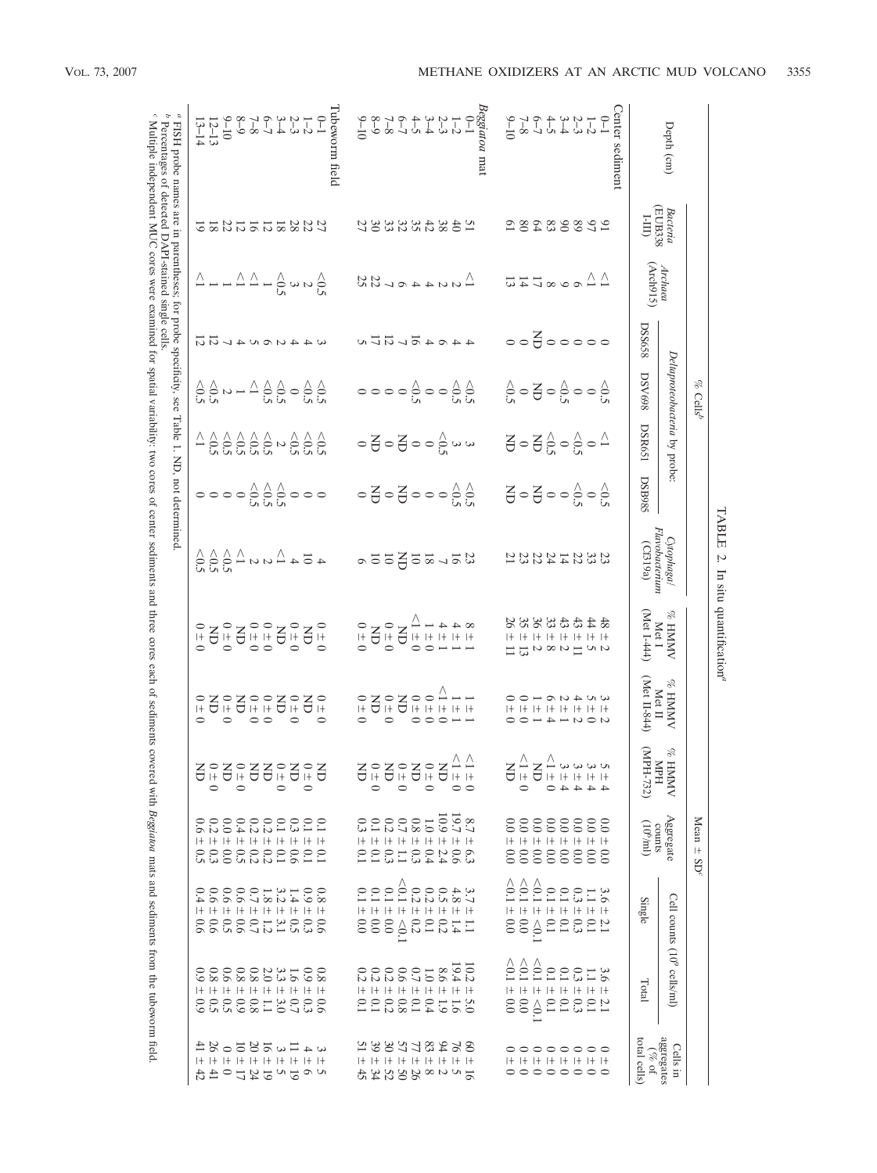|                                                                                                                                                                                                                                                                   |                               |                                                                                                                                                                                     |               | $\%$ Cells <sup>c</sup>                                                                                                                                                                               |                                                                                                                                 |                                                                                             |                                                                                                          |                                                                                                                                                                                                                                                                                                                                                                                                                                                                                            |                                                                                                     |                                                                                                                                                                                                                                                                                                                                                                                                                | Mean<br>$\bar{+}$<br>SD <sup>c</sup>                                                                    |                                                                                                                                |                                                                                                         |                                                                                    |
|-------------------------------------------------------------------------------------------------------------------------------------------------------------------------------------------------------------------------------------------------------------------|-------------------------------|-------------------------------------------------------------------------------------------------------------------------------------------------------------------------------------|---------------|-------------------------------------------------------------------------------------------------------------------------------------------------------------------------------------------------------|---------------------------------------------------------------------------------------------------------------------------------|---------------------------------------------------------------------------------------------|----------------------------------------------------------------------------------------------------------|--------------------------------------------------------------------------------------------------------------------------------------------------------------------------------------------------------------------------------------------------------------------------------------------------------------------------------------------------------------------------------------------------------------------------------------------------------------------------------------------|-----------------------------------------------------------------------------------------------------|----------------------------------------------------------------------------------------------------------------------------------------------------------------------------------------------------------------------------------------------------------------------------------------------------------------------------------------------------------------------------------------------------------------|---------------------------------------------------------------------------------------------------------|--------------------------------------------------------------------------------------------------------------------------------|---------------------------------------------------------------------------------------------------------|------------------------------------------------------------------------------------|
| Depth (cm)                                                                                                                                                                                                                                                        |                               |                                                                                                                                                                                     |               | Deltaproteobacteria by probe                                                                                                                                                                          |                                                                                                                                 |                                                                                             | Cytophaga/<br>Flavobacterium                                                                             | % HMMY                                                                                                                                                                                                                                                                                                                                                                                                                                                                                     | <b>NNNH %</b>                                                                                       |                                                                                                                                                                                                                                                                                                                                                                                                                |                                                                                                         | Cell counts (10 <sup>9</sup> cells/ml)                                                                                         |                                                                                                         | Cells<br>Ë                                                                         |
|                                                                                                                                                                                                                                                                   | Bacteria<br>(EUB338<br>I-III) | Archaea<br>(Arch915)                                                                                                                                                                | <b>DSS658</b> | <b>DSV698</b>                                                                                                                                                                                         | DSR651                                                                                                                          | <b>DSB985</b>                                                                               | (Cf319a)                                                                                                 | $(Met 1-444)$<br>Met I                                                                                                                                                                                                                                                                                                                                                                                                                                                                     | Met II-844)<br>Met II                                                                               | $\%$ HNMV WH $\%$ MPH $^{732}$                                                                                                                                                                                                                                                                                                                                                                                 | $\begin{array}{c} \Delta \texttt{gg} \texttt{regate} \\ \texttt{counts} \\ \texttt{counts} \end{array}$ | Single                                                                                                                         | Total                                                                                                   | $\begin{array}{c} \text{aggregate} \\ (\% \text{ of } \end{array}$<br>total cells) |
| $\begin{array}{c}\n\text{S} & -1 & \text{S} & \text{S} \\ \text{S} & -1 & \text{S} & \text{S} & \text{S} \\ \text{S} & -1 & \text{S} & \text{S} & \text{S} \\ \text{S} & -1 & \text{S} & \text{S} & \text{S} \\ \text{S} & -1 & \text{S} & \text{S}\n\end{array}$ |                               |                                                                                                                                                                                     |               |                                                                                                                                                                                                       |                                                                                                                                 |                                                                                             |                                                                                                          |                                                                                                                                                                                                                                                                                                                                                                                                                                                                                            |                                                                                                     |                                                                                                                                                                                                                                                                                                                                                                                                                |                                                                                                         |                                                                                                                                |                                                                                                         |                                                                                    |
|                                                                                                                                                                                                                                                                   |                               |                                                                                                                                                                                     |               |                                                                                                                                                                                                       |                                                                                                                                 |                                                                                             |                                                                                                          |                                                                                                                                                                                                                                                                                                                                                                                                                                                                                            |                                                                                                     |                                                                                                                                                                                                                                                                                                                                                                                                                |                                                                                                         |                                                                                                                                |                                                                                                         |                                                                                    |
|                                                                                                                                                                                                                                                                   |                               |                                                                                                                                                                                     |               |                                                                                                                                                                                                       |                                                                                                                                 |                                                                                             |                                                                                                          |                                                                                                                                                                                                                                                                                                                                                                                                                                                                                            |                                                                                                     |                                                                                                                                                                                                                                                                                                                                                                                                                |                                                                                                         |                                                                                                                                |                                                                                                         |                                                                                    |
|                                                                                                                                                                                                                                                                   |                               |                                                                                                                                                                                     |               |                                                                                                                                                                                                       |                                                                                                                                 |                                                                                             |                                                                                                          |                                                                                                                                                                                                                                                                                                                                                                                                                                                                                            |                                                                                                     |                                                                                                                                                                                                                                                                                                                                                                                                                |                                                                                                         |                                                                                                                                |                                                                                                         |                                                                                    |
|                                                                                                                                                                                                                                                                   | 28288842                      | $\triangle$ $\triangle$ $\triangle$ $\triangle$ $\triangle$ $\triangle$ $\triangle$ $\triangle$                                                                                     | 00800000      | $S^{\circ}_{\alpha} \circ \overline{S} \circ S^{\circ}_{\alpha} \circ S^{\circ}_{\alpha}$                                                                                                             | $\Xi$ $\circ$ $\Xi$ $\stackrel{\wedge}{\circ}$ $\circ$ $\stackrel{\wedge}{\circ}$ $\circ$ $\stackrel{\wedge}{\circ}$            | $\Xi$ $\circ$ $\Xi$ $\circ$ $\circ$ $\frac{\wedge}{\omega}$ $\circ$ $\frac{\wedge}{\omega}$ | <b>333424855</b>                                                                                         | \$\$\$\$\$\$\$\$<br>I+ I+ I+ I+ I+ I+ I+ I+<br>$\alpha \sim \pm \alpha \infty \; \alpha \equiv \pm$                                                                                                                                                                                                                                                                                                                                                                                        | $\omega \sim 4 \omega \sim -0$<br>$+ + + + + + + + + + +$<br>$U\supset U\rightarrow 4\rightarrow 0$ | $\frac{1}{2} + \frac{1}{2} + \frac{1}{2} + \frac{1}{2} + \frac{1}{2} + \frac{1}{2} + \frac{1}{2} + \frac{1}{2} + \frac{1}{2} + \frac{1}{2} + \frac{1}{2} + \frac{1}{2} + \frac{1}{2} + \frac{1}{2} + \frac{1}{2} + \frac{1}{2} + \frac{1}{2} + \frac{1}{2} + \frac{1}{2} + \frac{1}{2} + \frac{1}{2} + \frac{1}{2} + \frac{1}{2} + \frac{1}{2} + \frac{1}{2} + \frac{1}{2} + \frac{1}{2} + \frac{1$<br>$44440$ | 88888888<br>8888888<br>I+ I+ I+ I+ I+ I+ I+ I+<br>888888888                                             | $3.1001$<br>$-0.131$<br>I+ I+ I+ I+ I+                                                                                         | $3.10011$<br>$6.1311$<br>I+ I+ I+ I+ I+ I+ I+ I+                                                        | 00000000<br>I+ I+ I+ I+ I+ I+ I+ I+<br>00000000                                    |
|                                                                                                                                                                                                                                                                   |                               |                                                                                                                                                                                     |               |                                                                                                                                                                                                       |                                                                                                                                 |                                                                                             |                                                                                                          |                                                                                                                                                                                                                                                                                                                                                                                                                                                                                            |                                                                                                     |                                                                                                                                                                                                                                                                                                                                                                                                                |                                                                                                         |                                                                                                                                |                                                                                                         |                                                                                    |
|                                                                                                                                                                                                                                                                   |                               |                                                                                                                                                                                     |               |                                                                                                                                                                                                       |                                                                                                                                 |                                                                                             |                                                                                                          |                                                                                                                                                                                                                                                                                                                                                                                                                                                                                            |                                                                                                     |                                                                                                                                                                                                                                                                                                                                                                                                                |                                                                                                         | $\geq$<br>$\Diamond$                                                                                                           | $\approx 0.1$<br>$\geq$                                                                                 |                                                                                    |
|                                                                                                                                                                                                                                                                   |                               |                                                                                                                                                                                     |               |                                                                                                                                                                                                       |                                                                                                                                 |                                                                                             |                                                                                                          |                                                                                                                                                                                                                                                                                                                                                                                                                                                                                            |                                                                                                     | $\circ$                                                                                                                                                                                                                                                                                                                                                                                                        |                                                                                                         | $\geq$<br>$1 + 1 + 1 +$<br>$\begin{matrix} 0.0 \\ 0.0 \end{matrix}$                                                            | $\approx 0.1$<br>0.0                                                                                    |                                                                                    |
|                                                                                                                                                                                                                                                                   |                               |                                                                                                                                                                                     |               |                                                                                                                                                                                                       |                                                                                                                                 |                                                                                             |                                                                                                          |                                                                                                                                                                                                                                                                                                                                                                                                                                                                                            |                                                                                                     |                                                                                                                                                                                                                                                                                                                                                                                                                |                                                                                                         | $\hat{\mathbf{e}}$                                                                                                             |                                                                                                         |                                                                                    |
|                                                                                                                                                                                                                                                                   |                               |                                                                                                                                                                                     |               |                                                                                                                                                                                                       |                                                                                                                                 |                                                                                             |                                                                                                          |                                                                                                                                                                                                                                                                                                                                                                                                                                                                                            |                                                                                                     |                                                                                                                                                                                                                                                                                                                                                                                                                |                                                                                                         |                                                                                                                                |                                                                                                         |                                                                                    |
|                                                                                                                                                                                                                                                                   |                               |                                                                                                                                                                                     |               |                                                                                                                                                                                                       |                                                                                                                                 |                                                                                             |                                                                                                          |                                                                                                                                                                                                                                                                                                                                                                                                                                                                                            |                                                                                                     | $\circ$                                                                                                                                                                                                                                                                                                                                                                                                        | $82100$<br>$100$                                                                                        | $3.400$<br>0.4 0.5                                                                                                             |                                                                                                         |                                                                                    |
|                                                                                                                                                                                                                                                                   |                               |                                                                                                                                                                                     |               |                                                                                                                                                                                                       |                                                                                                                                 |                                                                                             |                                                                                                          |                                                                                                                                                                                                                                                                                                                                                                                                                                                                                            |                                                                                                     |                                                                                                                                                                                                                                                                                                                                                                                                                |                                                                                                         |                                                                                                                                |                                                                                                         |                                                                                    |
|                                                                                                                                                                                                                                                                   | <b>집술%경쟁영양건</b>               | $\begin{array}{c}\n\bigwedge \vee \\ \bigwedge \vee \\ \vee \vee \vee \\ \vee \vee \vee \\ \vee \vee \\ \vee\n\end{array}$                                                          | 440477720     | $\bigcirc \circ \circ \bigcirc \circ \circ \bigcirc \circ \circ \land \land \circ \circ \circ \circ \circ \circ$                                                                                      | $\omega \omega \underset{\epsilon_1}{\otimes} \sigma = \overline{\Theta} \circ \overline{\Theta} \circ \overline{\Theta} \circ$ | $-5-5-5$                                                                                    | 3557520                                                                                                  | $\begin{array}{c} \infty & 4 & 4 & 4 & 4 & 4 & 5 \\ \infty & 4 & 4 & 4 & 4 & 5 & 5 \\ \infty & 4 & 4 & 4 & 4 & 5 & 5 \\ \infty & 5 & 5 & 5 & 5 & 5 \\ \infty & 5 & 5 & 5 & 5 & 5 \\ \infty & 5 & 5 & 5 & 5 & 5 \\ \infty & 5 & 5 & 5 & 5 & 5 \\ \infty & 5 & 5 & 5 & 5 & 5 \\ \infty & 5 & 5 & 5 & 5 & 5 \\ \infty & 5 & 5 & 5 & 5 & 5 \\ \infty & 5 & 5 & 5 & $                                                                                                                           | $\frac{1}{2}$<br>$\circ\circ\circ\operatorname{\mathsf{--}}\operatorname{\mathsf{--}}\nolimits$     | $\bigoplus_{i=1}^{n} \bigoplus_{i=1}^{n} \bigoplus_{i=1}^{n} \bigoplus_{i=1}^{n} \bigoplus_{i=1}^{n} \bigoplus_{i=1}^{n} \bigoplus_{i=1}^{n}$<br>$\circ$                                                                                                                                                                                                                                                       | I+ I+ I+ I+ I+ I+ I+ I+ I+<br>60230213000                                                               | $0.2\,$<br>I+ I+ I+ I+ I+<br>$\frac{1}{4}$ $\frac{1}{4}$ $\frac{1}{3}$ $\frac{1}{3}$ $\frac{1}{6}$ $\frac{1}{3}$ $\frac{1}{6}$ | $10.28$<br>$3.4601$<br>$6.601000$<br>$0.6000$<br>$1+1+1+1+1+1+1+1+1+$<br>2:110000000<br>06941& <i>3</i> | 852385282<br>I+ I+ I+ I+ I+ I+ I+ I+ I+<br>152888534                               |
|                                                                                                                                                                                                                                                                   |                               |                                                                                                                                                                                     |               |                                                                                                                                                                                                       |                                                                                                                                 |                                                                                             |                                                                                                          |                                                                                                                                                                                                                                                                                                                                                                                                                                                                                            |                                                                                                     |                                                                                                                                                                                                                                                                                                                                                                                                                |                                                                                                         |                                                                                                                                |                                                                                                         |                                                                                    |
|                                                                                                                                                                                                                                                                   |                               |                                                                                                                                                                                     |               |                                                                                                                                                                                                       |                                                                                                                                 |                                                                                             |                                                                                                          |                                                                                                                                                                                                                                                                                                                                                                                                                                                                                            |                                                                                                     | $\circ$                                                                                                                                                                                                                                                                                                                                                                                                        | 13.202323                                                                                               | $\geq$<br>$ + + + + $                                                                                                          |                                                                                                         |                                                                                    |
|                                                                                                                                                                                                                                                                   |                               |                                                                                                                                                                                     |               |                                                                                                                                                                                                       |                                                                                                                                 |                                                                                             |                                                                                                          |                                                                                                                                                                                                                                                                                                                                                                                                                                                                                            | $\circ$                                                                                             |                                                                                                                                                                                                                                                                                                                                                                                                                |                                                                                                         |                                                                                                                                |                                                                                                         |                                                                                    |
|                                                                                                                                                                                                                                                                   |                               |                                                                                                                                                                                     |               |                                                                                                                                                                                                       |                                                                                                                                 |                                                                                             |                                                                                                          |                                                                                                                                                                                                                                                                                                                                                                                                                                                                                            |                                                                                                     | $\circ$                                                                                                                                                                                                                                                                                                                                                                                                        |                                                                                                         |                                                                                                                                |                                                                                                         |                                                                                    |
|                                                                                                                                                                                                                                                                   |                               |                                                                                                                                                                                     |               |                                                                                                                                                                                                       |                                                                                                                                 |                                                                                             |                                                                                                          |                                                                                                                                                                                                                                                                                                                                                                                                                                                                                            |                                                                                                     |                                                                                                                                                                                                                                                                                                                                                                                                                |                                                                                                         |                                                                                                                                |                                                                                                         |                                                                                    |
|                                                                                                                                                                                                                                                                   |                               |                                                                                                                                                                                     |               |                                                                                                                                                                                                       |                                                                                                                                 |                                                                                             |                                                                                                          |                                                                                                                                                                                                                                                                                                                                                                                                                                                                                            |                                                                                                     |                                                                                                                                                                                                                                                                                                                                                                                                                |                                                                                                         |                                                                                                                                |                                                                                                         |                                                                                    |
|                                                                                                                                                                                                                                                                   |                               |                                                                                                                                                                                     |               |                                                                                                                                                                                                       |                                                                                                                                 |                                                                                             |                                                                                                          |                                                                                                                                                                                                                                                                                                                                                                                                                                                                                            | $\circ$                                                                                             |                                                                                                                                                                                                                                                                                                                                                                                                                |                                                                                                         |                                                                                                                                |                                                                                                         |                                                                                    |
|                                                                                                                                                                                                                                                                   |                               |                                                                                                                                                                                     |               |                                                                                                                                                                                                       |                                                                                                                                 |                                                                                             |                                                                                                          |                                                                                                                                                                                                                                                                                                                                                                                                                                                                                            |                                                                                                     | $\circ$                                                                                                                                                                                                                                                                                                                                                                                                        |                                                                                                         |                                                                                                                                |                                                                                                         |                                                                                    |
|                                                                                                                                                                                                                                                                   |                               |                                                                                                                                                                                     |               |                                                                                                                                                                                                       |                                                                                                                                 |                                                                                             |                                                                                                          |                                                                                                                                                                                                                                                                                                                                                                                                                                                                                            |                                                                                                     |                                                                                                                                                                                                                                                                                                                                                                                                                |                                                                                                         |                                                                                                                                |                                                                                                         |                                                                                    |
|                                                                                                                                                                                                                                                                   |                               |                                                                                                                                                                                     |               |                                                                                                                                                                                                       |                                                                                                                                 |                                                                                             |                                                                                                          |                                                                                                                                                                                                                                                                                                                                                                                                                                                                                            |                                                                                                     | $\circ$                                                                                                                                                                                                                                                                                                                                                                                                        |                                                                                                         |                                                                                                                                |                                                                                                         |                                                                                    |
|                                                                                                                                                                                                                                                                   |                               |                                                                                                                                                                                     |               |                                                                                                                                                                                                       |                                                                                                                                 |                                                                                             |                                                                                                          |                                                                                                                                                                                                                                                                                                                                                                                                                                                                                            | $\circ \circ \circ$                                                                                 |                                                                                                                                                                                                                                                                                                                                                                                                                |                                                                                                         |                                                                                                                                |                                                                                                         |                                                                                    |
|                                                                                                                                                                                                                                                                   |                               |                                                                                                                                                                                     |               |                                                                                                                                                                                                       |                                                                                                                                 |                                                                                             |                                                                                                          |                                                                                                                                                                                                                                                                                                                                                                                                                                                                                            |                                                                                                     |                                                                                                                                                                                                                                                                                                                                                                                                                |                                                                                                         |                                                                                                                                |                                                                                                         |                                                                                    |
|                                                                                                                                                                                                                                                                   |                               |                                                                                                                                                                                     |               |                                                                                                                                                                                                       |                                                                                                                                 |                                                                                             |                                                                                                          |                                                                                                                                                                                                                                                                                                                                                                                                                                                                                            |                                                                                                     | $\circ$                                                                                                                                                                                                                                                                                                                                                                                                        |                                                                                                         |                                                                                                                                |                                                                                                         |                                                                                    |
|                                                                                                                                                                                                                                                                   |                               |                                                                                                                                                                                     |               |                                                                                                                                                                                                       |                                                                                                                                 |                                                                                             |                                                                                                          |                                                                                                                                                                                                                                                                                                                                                                                                                                                                                            | $\circ$                                                                                             |                                                                                                                                                                                                                                                                                                                                                                                                                |                                                                                                         |                                                                                                                                |                                                                                                         |                                                                                    |
| Euber<br>11214<br>1134789<br>112-11<br>113-11<br>113-11<br>113-11<br>113-11                                                                                                                                                                                       | <b>ZZ822222222</b>            | $\frac{\triangle}{\Omega}$ $\alpha$ $\omega$ $\frac{\triangle}{\Omega}$ $\alpha$ $\frac{\triangle}{\Omega}$ $\alpha$ $\frac{\triangle}{\Omega}$ $\alpha$ $\frac{\triangle}{\Omega}$ | こはすこところにに     | $\begin{array}{c}\n\wedge & \wedge & \wedge \\ \wedge & \wedge & \wedge \\ \wedge & \wedge & \wedge \\ \wedge & \wedge & \wedge \\ \wedge & \wedge & \wedge \\ \wedge & \wedge & \wedge\n\end{array}$ |                                                                                                                                 |                                                                                             | $454\frac{\triangle}{4}$ $\alpha \alpha \frac{\triangle}{4}$ $\frac{\triangle}{4}$ $\frac{\triangle}{4}$ | $\begin{array}{c}\n 0 \\  0 \\  \hline\n 0 \\  \hline\n 0 \\  \hline\n 0 \\  \hline\n 0 \\  \hline\n 0 \\  \hline\n 0 \\  \hline\n 0 \\  \hline\n 0 \\  \hline\n 0 \\  \hline\n 0 \\  \hline\n 0 \\  \hline\n 0 \\  \hline\n 0 \\  \hline\n 0 \\  \hline\n 0 \\  \hline\n 0 \\  \hline\n 0 \\  \hline\n 0 \\  \hline\n 0 \\  \hline\n 0 \\  \hline\n 0 \\  \hline\n 0 \\  \hline\n 0 \\  \hline\n 0 \\  \hline\n 0 \\  \hline\n 0 \\  \hline\n 0 \\  \hline\n 0 \\  \hline\n 0 \\  \hline$ | <b>BRAGESSER</b>                                                                                    | $\circ$                                                                                                                                                                                                                                                                                                                                                                                                        | +  +  +  +  +  +  +  +  +  +                                                                            | 001#1000000<br>8949866644<br> +  +  +  +  +  +  +  +  +  +<br>000311000000<br>639111166                                        | 8313368689<br>8929988689<br> +  +  +  +  +  +  +  +  +  +<br>00031100000<br>63701893                    | 34h3mmmm4<br>うりり りひけの せね                                                           |
|                                                                                                                                                                                                                                                                   |                               |                                                                                                                                                                                     |               |                                                                                                                                                                                                       |                                                                                                                                 |                                                                                             |                                                                                                          |                                                                                                                                                                                                                                                                                                                                                                                                                                                                                            | $\circ$                                                                                             |                                                                                                                                                                                                                                                                                                                                                                                                                |                                                                                                         |                                                                                                                                |                                                                                                         |                                                                                    |
| FISH probe                                                                                                                                                                                                                                                        |                               | in parentheses;                                                                                                                                                                     |               |                                                                                                                                                                                                       |                                                                                                                                 | probe specificity, see Table 1. ND, not determined                                          |                                                                                                          |                                                                                                                                                                                                                                                                                                                                                                                                                                                                                            |                                                                                                     |                                                                                                                                                                                                                                                                                                                                                                                                                |                                                                                                         |                                                                                                                                |                                                                                                         |                                                                                    |
|                                                                                                                                                                                                                                                                   |                               |                                                                                                                                                                                     |               |                                                                                                                                                                                                       |                                                                                                                                 |                                                                                             |                                                                                                          |                                                                                                                                                                                                                                                                                                                                                                                                                                                                                            |                                                                                                     |                                                                                                                                                                                                                                                                                                                                                                                                                |                                                                                                         |                                                                                                                                |                                                                                                         |                                                                                    |

Percentages single*c* Multiple independent**MUC**  cores were examined for spatial variability: two cores of center sediments and three cores each of sediments covered with *Beggiatoa* mats and

sediments

 fromthe

tubeworm

field.

TABLE

2. In situ

quantification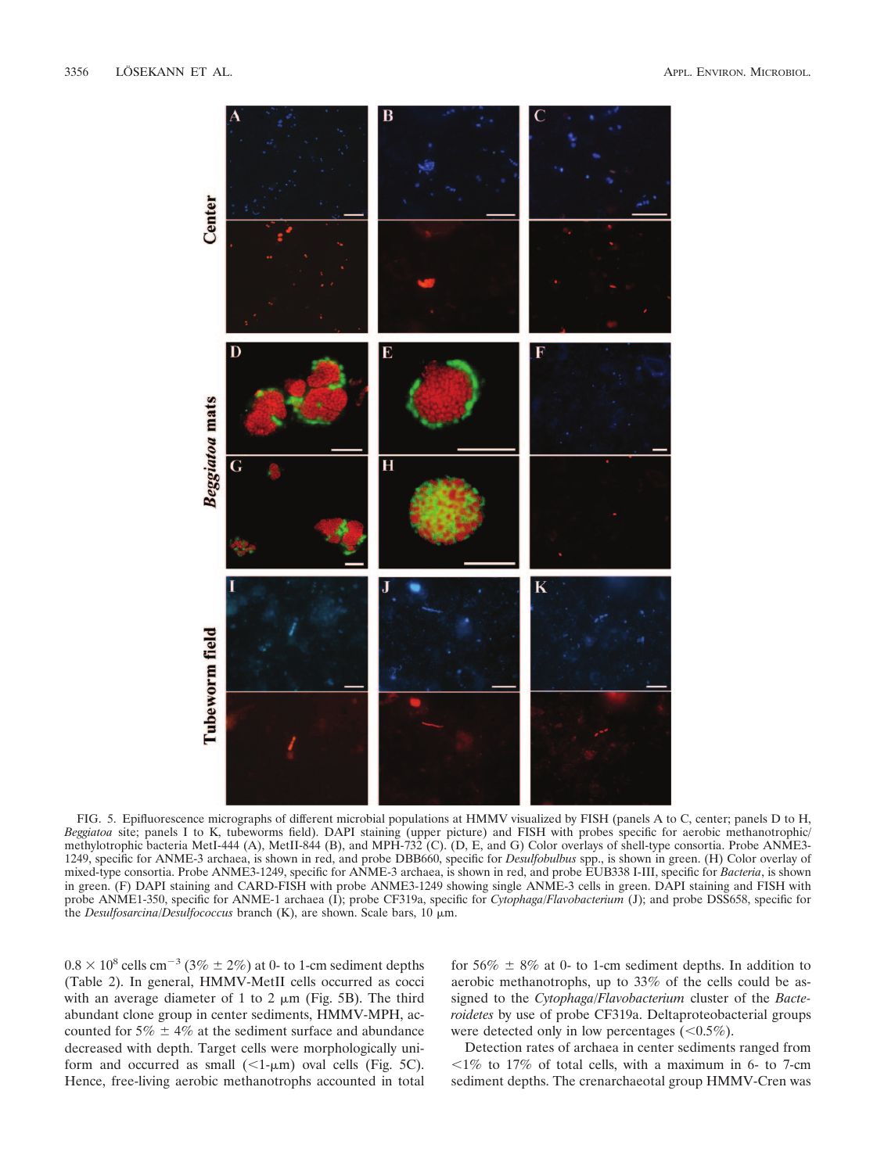

FIG. 5. Epifluorescence micrographs of different microbial populations at HMMV visualized by FISH (panels A to C, center; panels D to H, *Beggiatoa* site; panels I to K, tubeworms field). DAPI staining (upper picture) and FISH with probes specific for aerobic methanotrophic/ methylotrophic bacteria MetI-444 (A), MetII-844 (B), and MPH-732 (C). (D, E, and G) Color overlays of shell-type consortia. Probe ANME3-1249, specific for ANME-3 archaea, is shown in red, and probe DBB660, specific for *Desulfobulbus* spp., is shown in green. (H) Color overlay of mixed-type consortia. Probe ANME3-1249, specific for ANME-3 archaea, is shown in red, and probe EUB338 I-III, specific for *Bacteria*, is shown in green. (F) DAPI staining and CARD-FISH with probe ANME3-1249 showing single ANME-3 cells in green. DAPI staining and FISH with probe ANME1-350, specific for ANME-1 archaea (I); probe CF319a, specific for *Cytophaga/Flavobacterium* (J); and probe DSS658, specific for the *Desulfosarcina/Desulfococcus* branch  $(K)$ , are shown. Scale bars, 10  $\mu$ m.

 $0.8 \times 10^8$  cells cm<sup>-3</sup> (3%  $\pm$  2%) at 0- to 1-cm sediment depths (Table 2). In general, HMMV-MetII cells occurred as cocci with an average diameter of 1 to 2  $\mu$ m (Fig. 5B). The third abundant clone group in center sediments, HMMV-MPH, accounted for  $5\% \pm 4\%$  at the sediment surface and abundance decreased with depth. Target cells were morphologically uniform and occurred as small  $(\leq 1-\mu m)$  oval cells (Fig. 5C). Hence, free-living aerobic methanotrophs accounted in total

for  $56\% \pm 8\%$  at 0- to 1-cm sediment depths. In addition to aerobic methanotrophs, up to 33% of the cells could be assigned to the *Cytophaga/Flavobacterium* cluster of the *Bacteroidetes* by use of probe CF319a. Deltaproteobacterial groups were detected only in low percentages  $(<0.5\%)$ .

Detection rates of archaea in center sediments ranged from  $1\%$  to 17% of total cells, with a maximum in 6- to 7-cm sediment depths. The crenarchaeotal group HMMV-Cren was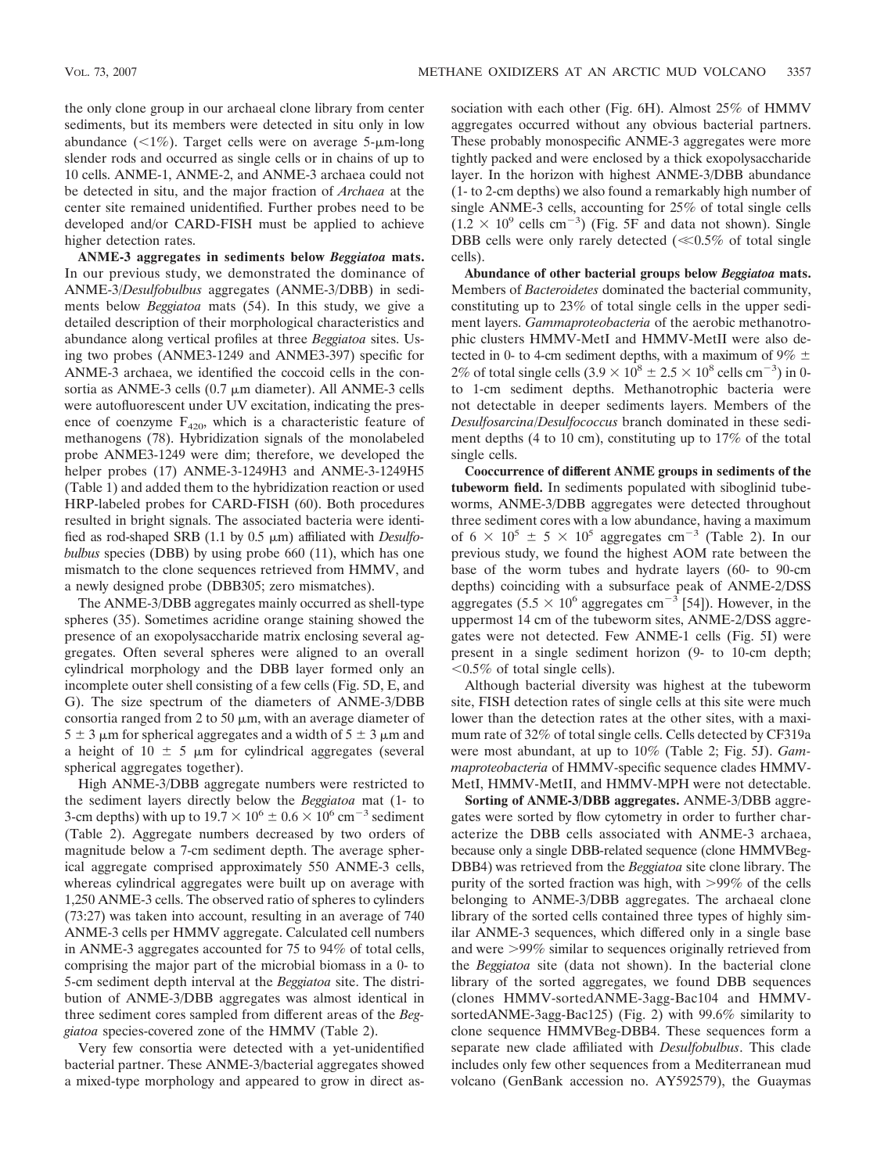the only clone group in our archaeal clone library from center sediments, but its members were detected in situ only in low abundance  $(\leq 1\%)$ . Target cells were on average 5- $\mu$ m-long slender rods and occurred as single cells or in chains of up to 10 cells. ANME-1, ANME-2, and ANME-3 archaea could not be detected in situ, and the major fraction of *Archaea* at the center site remained unidentified. Further probes need to be developed and/or CARD-FISH must be applied to achieve higher detection rates.

**ANME-3 aggregates in sediments below** *Beggiatoa* **mats.** In our previous study, we demonstrated the dominance of ANME-3/*Desulfobulbus* aggregates (ANME-3/DBB) in sediments below *Beggiatoa* mats (54). In this study, we give a detailed description of their morphological characteristics and abundance along vertical profiles at three *Beggiatoa* sites. Using two probes (ANME3-1249 and ANME3-397) specific for ANME-3 archaea, we identified the coccoid cells in the consortia as ANME-3 cells  $(0.7 \mu m)$  diameter). All ANME-3 cells were autofluorescent under UV excitation, indicating the presence of coenzyme  $F_{420}$ , which is a characteristic feature of methanogens (78). Hybridization signals of the monolabeled probe ANME3-1249 were dim; therefore, we developed the helper probes (17) ANME-3-1249H3 and ANME-3-1249H5 (Table 1) and added them to the hybridization reaction or used HRP-labeled probes for CARD-FISH (60). Both procedures resulted in bright signals. The associated bacteria were identified as rod-shaped SRB (1.1 by 0.5 μm) affiliated with *Desulfobulbus* species (DBB) by using probe 660 (11), which has one mismatch to the clone sequences retrieved from HMMV, and a newly designed probe (DBB305; zero mismatches).

The ANME-3/DBB aggregates mainly occurred as shell-type spheres (35). Sometimes acridine orange staining showed the presence of an exopolysaccharide matrix enclosing several aggregates. Often several spheres were aligned to an overall cylindrical morphology and the DBB layer formed only an incomplete outer shell consisting of a few cells (Fig. 5D, E, and G). The size spectrum of the diameters of ANME-3/DBB consortia ranged from 2 to 50  $\mu$ m, with an average diameter of  $5 \pm 3$  µm for spherical aggregates and a width of  $5 \pm 3$  µm and a height of 10  $\pm$  5  $\mu$ m for cylindrical aggregates (several spherical aggregates together).

High ANME-3/DBB aggregate numbers were restricted to the sediment layers directly below the *Beggiatoa* mat (1- to 3-cm depths) with up to  $19.7 \times 10^6 \pm 0.6 \times 10^6$  cm<sup>-3</sup> sediment (Table 2). Aggregate numbers decreased by two orders of magnitude below a 7-cm sediment depth. The average spherical aggregate comprised approximately 550 ANME-3 cells, whereas cylindrical aggregates were built up on average with 1,250 ANME-3 cells. The observed ratio of spheres to cylinders (73:27) was taken into account, resulting in an average of 740 ANME-3 cells per HMMV aggregate. Calculated cell numbers in ANME-3 aggregates accounted for 75 to 94% of total cells, comprising the major part of the microbial biomass in a 0- to 5-cm sediment depth interval at the *Beggiatoa* site. The distribution of ANME-3/DBB aggregates was almost identical in three sediment cores sampled from different areas of the *Beggiatoa* species-covered zone of the HMMV (Table 2).

Very few consortia were detected with a yet-unidentified bacterial partner. These ANME-3/bacterial aggregates showed a mixed-type morphology and appeared to grow in direct association with each other (Fig. 6H). Almost 25% of HMMV aggregates occurred without any obvious bacterial partners. These probably monospecific ANME-3 aggregates were more tightly packed and were enclosed by a thick exopolysaccharide layer. In the horizon with highest ANME-3/DBB abundance (1- to 2-cm depths) we also found a remarkably high number of single ANME-3 cells, accounting for 25% of total single cells  $(1.2 \times 10^{9} \text{ cells cm}^{-3})$  (Fig. 5F and data not shown). Single DBB cells were only rarely detected  $(\ll 0.5\%$  of total single cells).

**Abundance of other bacterial groups below** *Beggiatoa* **mats.** Members of *Bacteroidetes* dominated the bacterial community, constituting up to 23% of total single cells in the upper sediment layers. *Gammaproteobacteria* of the aerobic methanotrophic clusters HMMV-MetI and HMMV-MetII were also detected in 0- to 4-cm sediment depths, with a maximum of  $9\% \pm$ 2% of total single cells  $(3.9 \times 10^8 \pm 2.5 \times 10^8 \text{ cells cm}^{-3})$  in 0to 1-cm sediment depths. Methanotrophic bacteria were not detectable in deeper sediments layers. Members of the *Desulfosarcina/Desulfococcus* branch dominated in these sediment depths (4 to 10 cm), constituting up to 17% of the total single cells.

**Cooccurrence of different ANME groups in sediments of the tubeworm field.** In sediments populated with siboglinid tubeworms, ANME-3/DBB aggregates were detected throughout three sediment cores with a low abundance, having a maximum of  $6 \times 10^5 \pm 5 \times 10^5$  aggregates cm<sup>-3</sup> (Table 2). In our previous study, we found the highest AOM rate between the base of the worm tubes and hydrate layers (60- to 90-cm depths) coinciding with a subsurface peak of ANME-2/DSS aggregates (5.5  $\times$  10<sup>6</sup> aggregates cm<sup>-3</sup> [54]). However, in the uppermost 14 cm of the tubeworm sites, ANME-2/DSS aggregates were not detected. Few ANME-1 cells (Fig. 5I) were present in a single sediment horizon (9- to 10-cm depth;  $0.5\%$  of total single cells).

Although bacterial diversity was highest at the tubeworm site, FISH detection rates of single cells at this site were much lower than the detection rates at the other sites, with a maximum rate of 32% of total single cells. Cells detected by CF319a were most abundant, at up to 10% (Table 2; Fig. 5J). *Gammaproteobacteria* of HMMV-specific sequence clades HMMV-MetI, HMMV-MetII, and HMMV-MPH were not detectable.

**Sorting of ANME-3/DBB aggregates.** ANME-3/DBB aggregates were sorted by flow cytometry in order to further characterize the DBB cells associated with ANME-3 archaea, because only a single DBB-related sequence (clone HMMVBeg-DBB4) was retrieved from the *Beggiatoa* site clone library. The purity of the sorted fraction was high, with  $>99\%$  of the cells belonging to ANME-3/DBB aggregates. The archaeal clone library of the sorted cells contained three types of highly similar ANME-3 sequences, which differed only in a single base and were 99% similar to sequences originally retrieved from the *Beggiatoa* site (data not shown). In the bacterial clone library of the sorted aggregates, we found DBB sequences (clones HMMV-sortedANME-3agg-Bac104 and HMMVsortedANME-3agg-Bac125) (Fig. 2) with 99.6% similarity to clone sequence HMMVBeg-DBB4. These sequences form a separate new clade affiliated with *Desulfobulbus*. This clade includes only few other sequences from a Mediterranean mud volcano (GenBank accession no. AY592579), the Guaymas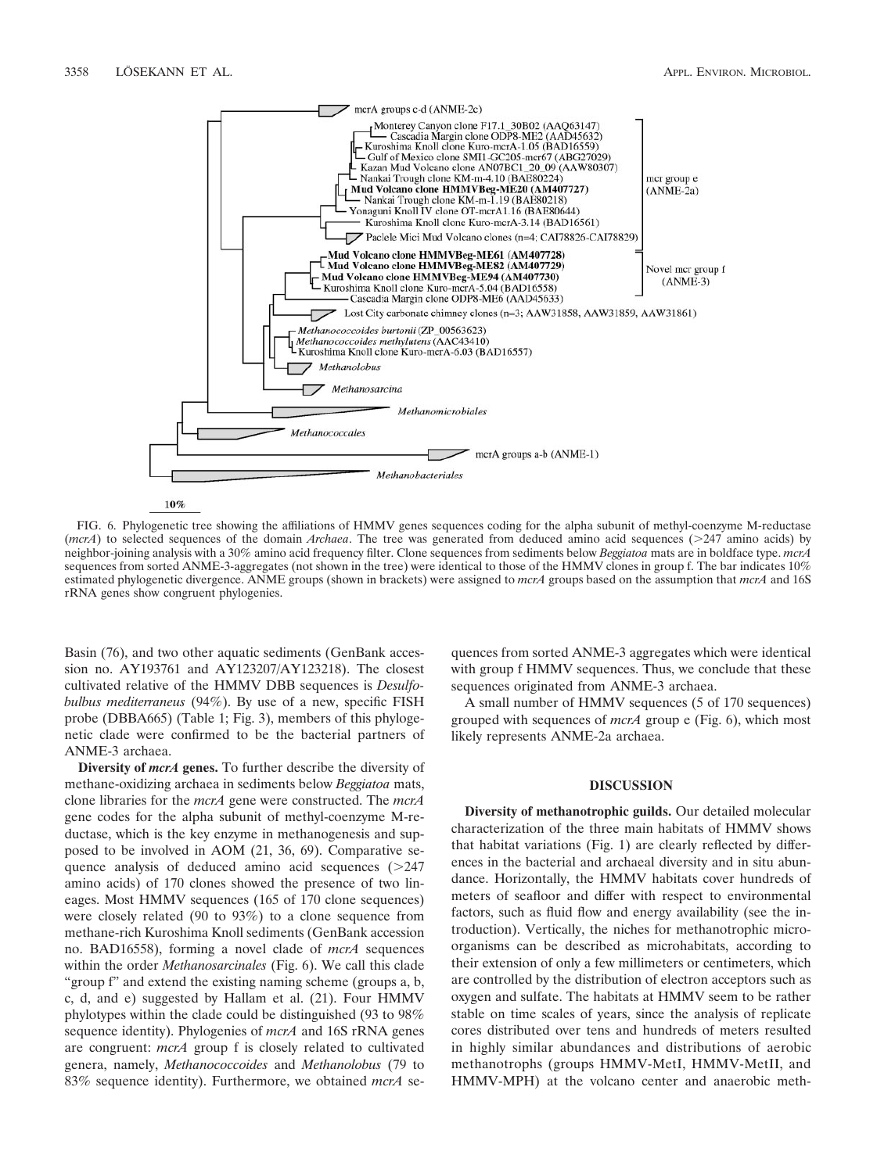

FIG. 6. Phylogenetic tree showing the affiliations of HMMV genes sequences coding for the alpha subunit of methyl-coenzyme M-reductase (*mcrA*) to selected sequences of the domain *Archaea*. The tree was generated from deduced amino acid sequences (247 amino acids) by neighbor-joining analysis with a 30% amino acid frequency filter. Clone sequences from sediments below *Beggiatoa* mats are in boldface type. *mcrA* sequences from sorted ANME-3-aggregates (not shown in the tree) were identical to those of the HMMV clones in group f. The bar indicates 10% estimated phylogenetic divergence. ANME groups (shown in brackets) were assigned to *mcrA* groups based on the assumption that *mcrA* and 16S rRNA genes show congruent phylogenies.

Basin (76), and two other aquatic sediments (GenBank accession no. AY193761 and AY123207/AY123218). The closest cultivated relative of the HMMV DBB sequences is *Desulfobulbus mediterraneus* (94%). By use of a new, specific FISH probe (DBBA665) (Table 1; Fig. 3), members of this phylogenetic clade were confirmed to be the bacterial partners of ANME-3 archaea.

**Diversity of** *mcrA* **genes.** To further describe the diversity of methane-oxidizing archaea in sediments below *Beggiatoa* mats, clone libraries for the *mcrA* gene were constructed. The *mcrA* gene codes for the alpha subunit of methyl-coenzyme M-reductase, which is the key enzyme in methanogenesis and supposed to be involved in AOM (21, 36, 69). Comparative sequence analysis of deduced amino acid sequences  $(>247)$ amino acids) of 170 clones showed the presence of two lineages. Most HMMV sequences (165 of 170 clone sequences) were closely related (90 to 93%) to a clone sequence from methane-rich Kuroshima Knoll sediments (GenBank accession no. BAD16558), forming a novel clade of *mcrA* sequences within the order *Methanosarcinales* (Fig. 6). We call this clade "group f" and extend the existing naming scheme (groups a, b, c, d, and e) suggested by Hallam et al. (21). Four HMMV phylotypes within the clade could be distinguished (93 to 98% sequence identity). Phylogenies of *mcrA* and 16S rRNA genes are congruent: *mcrA* group f is closely related to cultivated genera, namely, *Methanococcoides* and *Methanolobus* (79 to 83% sequence identity). Furthermore, we obtained *mcrA* sequences from sorted ANME-3 aggregates which were identical with group f HMMV sequences. Thus, we conclude that these sequences originated from ANME-3 archaea.

A small number of HMMV sequences (5 of 170 sequences) grouped with sequences of *mcrA* group e (Fig. 6), which most likely represents ANME-2a archaea.

### **DISCUSSION**

**Diversity of methanotrophic guilds.** Our detailed molecular characterization of the three main habitats of HMMV shows that habitat variations (Fig. 1) are clearly reflected by differences in the bacterial and archaeal diversity and in situ abundance. Horizontally, the HMMV habitats cover hundreds of meters of seafloor and differ with respect to environmental factors, such as fluid flow and energy availability (see the introduction). Vertically, the niches for methanotrophic microorganisms can be described as microhabitats, according to their extension of only a few millimeters or centimeters, which are controlled by the distribution of electron acceptors such as oxygen and sulfate. The habitats at HMMV seem to be rather stable on time scales of years, since the analysis of replicate cores distributed over tens and hundreds of meters resulted in highly similar abundances and distributions of aerobic methanotrophs (groups HMMV-MetI, HMMV-MetII, and HMMV-MPH) at the volcano center and anaerobic meth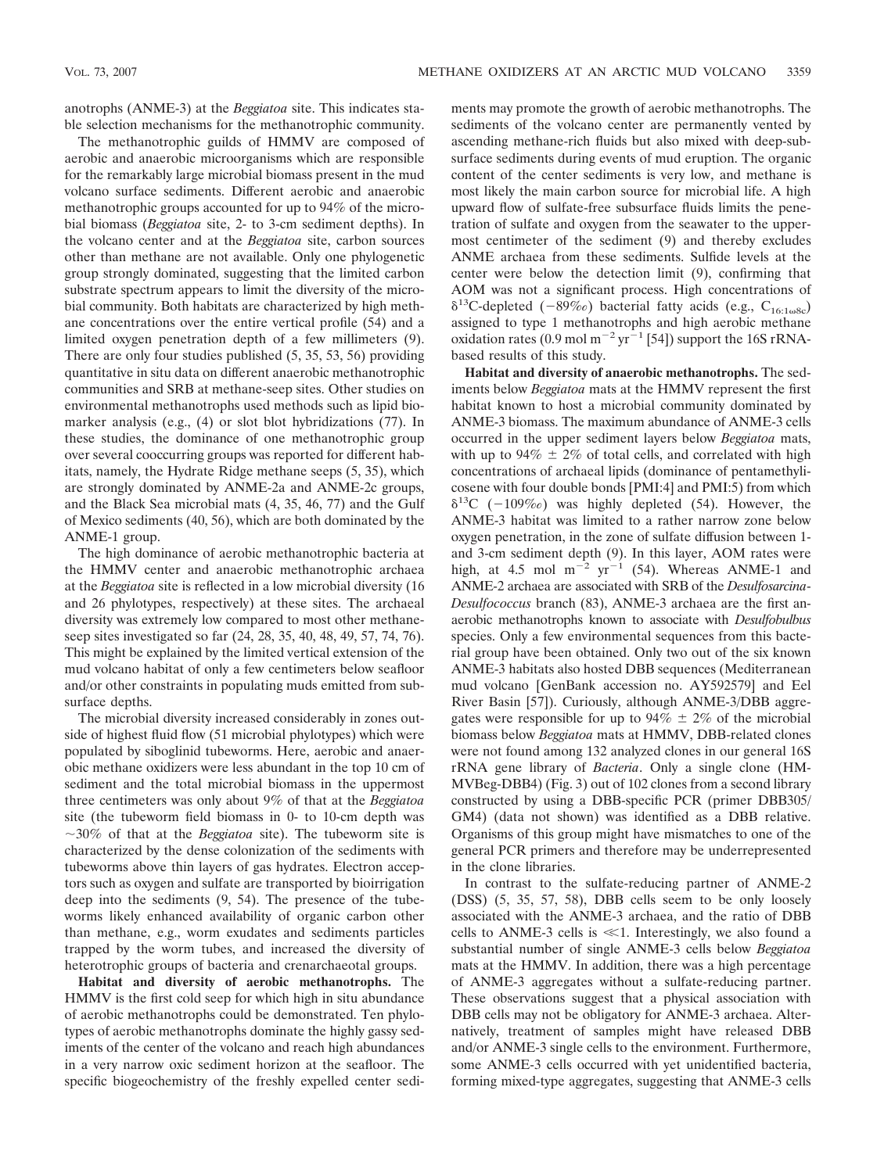anotrophs (ANME-3) at the *Beggiatoa* site. This indicates stable selection mechanisms for the methanotrophic community.

The methanotrophic guilds of HMMV are composed of aerobic and anaerobic microorganisms which are responsible for the remarkably large microbial biomass present in the mud volcano surface sediments. Different aerobic and anaerobic methanotrophic groups accounted for up to 94% of the microbial biomass (*Beggiatoa* site, 2- to 3-cm sediment depths). In the volcano center and at the *Beggiatoa* site, carbon sources other than methane are not available. Only one phylogenetic group strongly dominated, suggesting that the limited carbon substrate spectrum appears to limit the diversity of the microbial community. Both habitats are characterized by high methane concentrations over the entire vertical profile (54) and a limited oxygen penetration depth of a few millimeters (9). There are only four studies published (5, 35, 53, 56) providing quantitative in situ data on different anaerobic methanotrophic communities and SRB at methane-seep sites. Other studies on environmental methanotrophs used methods such as lipid biomarker analysis (e.g., (4) or slot blot hybridizations (77). In these studies, the dominance of one methanotrophic group over several cooccurring groups was reported for different habitats, namely, the Hydrate Ridge methane seeps (5, 35), which are strongly dominated by ANME-2a and ANME-2c groups, and the Black Sea microbial mats (4, 35, 46, 77) and the Gulf of Mexico sediments (40, 56), which are both dominated by the ANME-1 group.

The high dominance of aerobic methanotrophic bacteria at the HMMV center and anaerobic methanotrophic archaea at the *Beggiatoa* site is reflected in a low microbial diversity (16 and 26 phylotypes, respectively) at these sites. The archaeal diversity was extremely low compared to most other methaneseep sites investigated so far (24, 28, 35, 40, 48, 49, 57, 74, 76). This might be explained by the limited vertical extension of the mud volcano habitat of only a few centimeters below seafloor and/or other constraints in populating muds emitted from subsurface depths.

The microbial diversity increased considerably in zones outside of highest fluid flow (51 microbial phylotypes) which were populated by siboglinid tubeworms. Here, aerobic and anaerobic methane oxidizers were less abundant in the top 10 cm of sediment and the total microbial biomass in the uppermost three centimeters was only about 9% of that at the *Beggiatoa* site (the tubeworm field biomass in 0- to 10-cm depth was 30% of that at the *Beggiatoa* site). The tubeworm site is characterized by the dense colonization of the sediments with tubeworms above thin layers of gas hydrates. Electron acceptors such as oxygen and sulfate are transported by bioirrigation deep into the sediments (9, 54). The presence of the tubeworms likely enhanced availability of organic carbon other than methane, e.g., worm exudates and sediments particles trapped by the worm tubes, and increased the diversity of heterotrophic groups of bacteria and crenarchaeotal groups.

**Habitat and diversity of aerobic methanotrophs.** The HMMV is the first cold seep for which high in situ abundance of aerobic methanotrophs could be demonstrated. Ten phylotypes of aerobic methanotrophs dominate the highly gassy sediments of the center of the volcano and reach high abundances in a very narrow oxic sediment horizon at the seafloor. The specific biogeochemistry of the freshly expelled center sediments may promote the growth of aerobic methanotrophs. The sediments of the volcano center are permanently vented by ascending methane-rich fluids but also mixed with deep-subsurface sediments during events of mud eruption. The organic content of the center sediments is very low, and methane is most likely the main carbon source for microbial life. A high upward flow of sulfate-free subsurface fluids limits the penetration of sulfate and oxygen from the seawater to the uppermost centimeter of the sediment (9) and thereby excludes ANME archaea from these sediments. Sulfide levels at the center were below the detection limit (9), confirming that AOM was not a significant process. High concentrations of  $\delta^{13}$ C-depleted (-89‰) bacterial fatty acids (e.g., C<sub>16:1ω8c</sub>) assigned to type 1 methanotrophs and high aerobic methane oxidation rates (0.9 mol m<sup>-2</sup> yr<sup>-1</sup> [54]) support the 16S rRNAbased results of this study.

**Habitat and diversity of anaerobic methanotrophs.** The sediments below *Beggiatoa* mats at the HMMV represent the first habitat known to host a microbial community dominated by ANME-3 biomass. The maximum abundance of ANME-3 cells occurred in the upper sediment layers below *Beggiatoa* mats, with up to 94%  $\pm$  2% of total cells, and correlated with high concentrations of archaeal lipids (dominance of pentamethylicosene with four double bonds [PMI:4] and PMI:5) from which  $\delta^{13}C$  (-109‰) was highly depleted (54). However, the ANME-3 habitat was limited to a rather narrow zone below oxygen penetration, in the zone of sulfate diffusion between 1 and 3-cm sediment depth (9). In this layer, AOM rates were high, at 4.5 mol  $m^{-2}$   $yr^{-1}$  (54). Whereas ANME-1 and ANME-2 archaea are associated with SRB of the *Desulfosarcina*-*Desulfococcus* branch (83), ANME-3 archaea are the first anaerobic methanotrophs known to associate with *Desulfobulbus* species. Only a few environmental sequences from this bacterial group have been obtained. Only two out of the six known ANME-3 habitats also hosted DBB sequences (Mediterranean mud volcano [GenBank accession no. AY592579] and Eel River Basin [57]). Curiously, although ANME-3/DBB aggregates were responsible for up to  $94\% \pm 2\%$  of the microbial biomass below *Beggiatoa* mats at HMMV, DBB-related clones were not found among 132 analyzed clones in our general 16S rRNA gene library of *Bacteria*. Only a single clone (HM-MVBeg-DBB4) (Fig. 3) out of 102 clones from a second library constructed by using a DBB-specific PCR (primer DBB305/ GM4) (data not shown) was identified as a DBB relative. Organisms of this group might have mismatches to one of the general PCR primers and therefore may be underrepresented in the clone libraries.

In contrast to the sulfate-reducing partner of ANME-2 (DSS) (5, 35, 57, 58), DBB cells seem to be only loosely associated with the ANME-3 archaea, and the ratio of DBB cells to ANME-3 cells is  $\ll$ 1. Interestingly, we also found a substantial number of single ANME-3 cells below *Beggiatoa* mats at the HMMV. In addition, there was a high percentage of ANME-3 aggregates without a sulfate-reducing partner. These observations suggest that a physical association with DBB cells may not be obligatory for ANME-3 archaea. Alternatively, treatment of samples might have released DBB and/or ANME-3 single cells to the environment. Furthermore, some ANME-3 cells occurred with yet unidentified bacteria, forming mixed-type aggregates, suggesting that ANME-3 cells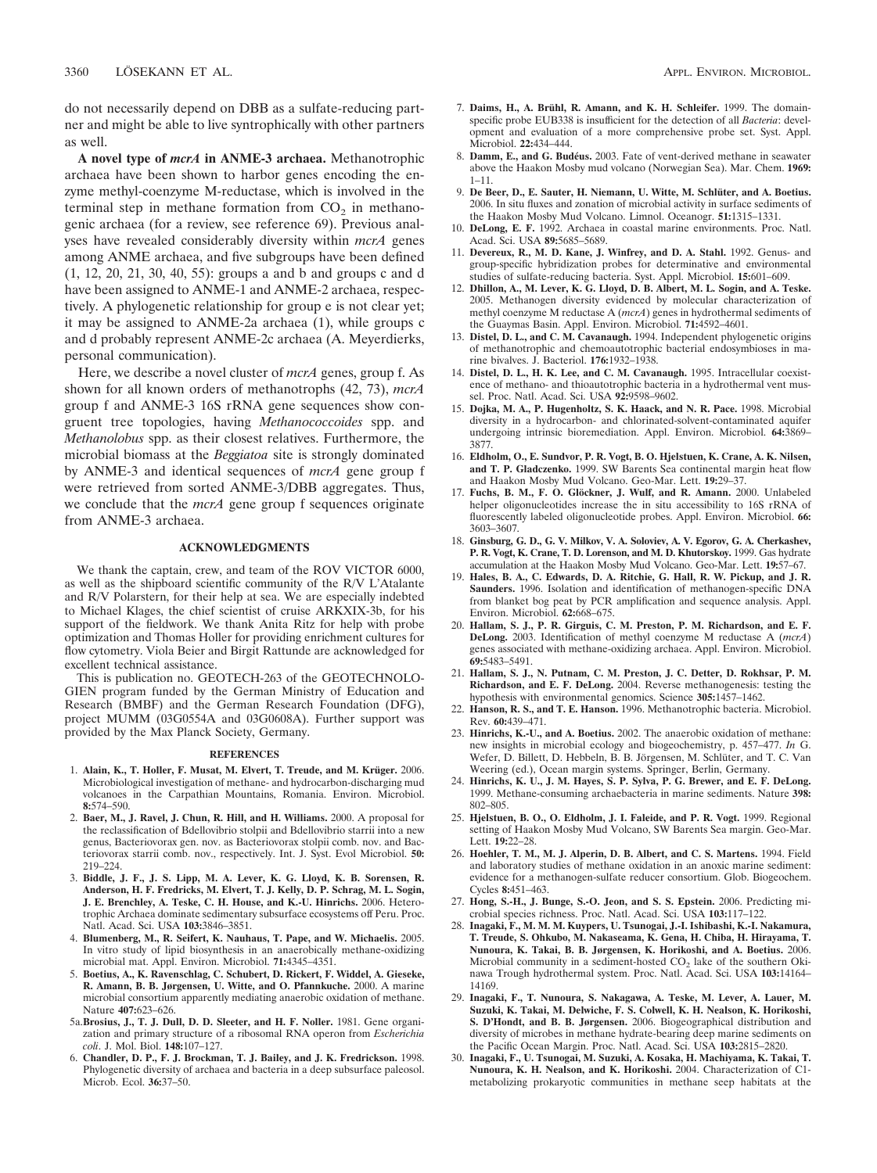do not necessarily depend on DBB as a sulfate-reducing partner and might be able to live syntrophically with other partners as well.

**A novel type of** *mcrA* **in ANME-3 archaea.** Methanotrophic archaea have been shown to harbor genes encoding the enzyme methyl-coenzyme M-reductase, which is involved in the terminal step in methane formation from  $CO<sub>2</sub>$  in methanogenic archaea (for a review, see reference 69). Previous analyses have revealed considerably diversity within *mcrA* genes among ANME archaea, and five subgroups have been defined (1, 12, 20, 21, 30, 40, 55): groups a and b and groups c and d have been assigned to ANME-1 and ANME-2 archaea, respectively. A phylogenetic relationship for group e is not clear yet; it may be assigned to ANME-2a archaea (1), while groups c and d probably represent ANME-2c archaea (A. Meyerdierks, personal communication).

Here, we describe a novel cluster of *mcrA* genes, group f. As shown for all known orders of methanotrophs (42, 73), *mcrA* group f and ANME-3 16S rRNA gene sequences show congruent tree topologies, having *Methanococcoides* spp. and *Methanolobus* spp. as their closest relatives. Furthermore, the microbial biomass at the *Beggiatoa* site is strongly dominated by ANME-3 and identical sequences of *mcrA* gene group f were retrieved from sorted ANME-3/DBB aggregates. Thus, we conclude that the *mcrA* gene group f sequences originate from ANME-3 archaea.

## **ACKNOWLEDGMENTS**

We thank the captain, crew, and team of the ROV VICTOR 6000, as well as the shipboard scientific community of the R/V L'Atalante and R/V Polarstern, for their help at sea. We are especially indebted to Michael Klages, the chief scientist of cruise ARKXIX-3b, for his support of the fieldwork. We thank Anita Ritz for help with probe optimization and Thomas Holler for providing enrichment cultures for flow cytometry. Viola Beier and Birgit Rattunde are acknowledged for excellent technical assistance.

This is publication no. GEOTECH-263 of the GEOTECHNOLO-GIEN program funded by the German Ministry of Education and Research (BMBF) and the German Research Foundation (DFG), project MUMM (03G0554A and 03G0608A). Further support was provided by the Max Planck Society, Germany.

#### **REFERENCES**

- 1. Alain, K., T. Holler, F. Musat, M. Elvert, T. Treude, and M. Krüger. 2006. Microbiological investigation of methane- and hydrocarbon-discharging mud volcanoes in the Carpathian Mountains, Romania. Environ. Microbiol. **8:**574–590.
- 2. **Baer, M., J. Ravel, J. Chun, R. Hill, and H. Williams.** 2000. A proposal for the reclassification of Bdellovibrio stolpii and Bdellovibrio starrii into a new genus, Bacteriovorax gen. nov. as Bacteriovorax stolpii comb. nov. and Bacteriovorax starrii comb. nov., respectively. Int. J. Syst. Evol Microbiol. **50:** 219–224.
- 3. **Biddle, J. F., J. S. Lipp, M. A. Lever, K. G. Lloyd, K. B. Sorensen, R. Anderson, H. F. Fredricks, M. Elvert, T. J. Kelly, D. P. Schrag, M. L. Sogin, J. E. Brenchley, A. Teske, C. H. House, and K.-U. Hinrichs.** 2006. Heterotrophic Archaea dominate sedimentary subsurface ecosystems off Peru. Proc. Natl. Acad. Sci. USA **103:**3846–3851.
- 4. **Blumenberg, M., R. Seifert, K. Nauhaus, T. Pape, and W. Michaelis.** 2005. In vitro study of lipid biosynthesis in an anaerobically methane-oxidizing microbial mat. Appl. Environ. Microbiol. **71:**4345–4351.
- 5. **Boetius, A., K. Ravenschlag, C. Schubert, D. Rickert, F. Widdel, A. Gieseke, R. Amann, B. B. Jørgensen, U. Witte, and O. Pfannkuche.** 2000. A marine microbial consortium apparently mediating anaerobic oxidation of methane. Nature **407:**623–626.
- 5a.**Brosius, J., T. J. Dull, D. D. Sleeter, and H. F. Noller.** 1981. Gene organization and primary structure of a ribosomal RNA operon from *Escherichia coli*. J. Mol. Biol. **148:**107–127.
- 6. **Chandler, D. P., F. J. Brockman, T. J. Bailey, and J. K. Fredrickson.** 1998. Phylogenetic diversity of archaea and bacteria in a deep subsurface paleosol. Microb. Ecol. **36:**37–50.
- Microbiol. **22:**434–444. 8. **Damm, E., and G. Budéus.** 2003. Fate of vent-derived methane in seawater above the Haakon Mosby mud volcano (Norwegian Sea). Mar. Chem. **1969:** 1–11.
- 9. De Beer, D., E. Sauter, H. Niemann, U. Witte, M. Schlüter, and A. Boetius. 2006. In situ fluxes and zonation of microbial activity in surface sediments of the Haakon Mosby Mud Volcano. Limnol. Oceanogr. **51:**1315–1331.
- 10. **DeLong, E. F.** 1992. Archaea in coastal marine environments. Proc. Natl. Acad. Sci. USA **89:**5685–5689.
- 11. **Devereux, R., M. D. Kane, J. Winfrey, and D. A. Stahl.** 1992. Genus- and group-specific hybridization probes for determinative and environmental studies of sulfate-reducing bacteria. Syst. Appl. Microbiol. **15:**601–609.
- 12. **Dhillon, A., M. Lever, K. G. Lloyd, D. B. Albert, M. L. Sogin, and A. Teske.** 2005. Methanogen diversity evidenced by molecular characterization of methyl coenzyme M reductase A (*mcrA*) genes in hydrothermal sediments of the Guaymas Basin. Appl. Environ. Microbiol. **71:**4592–4601.
- 13. **Distel, D. L., and C. M. Cavanaugh.** 1994. Independent phylogenetic origins of methanotrophic and chemoautotrophic bacterial endosymbioses in marine bivalves. J. Bacteriol. **176:**1932–1938.
- 14. **Distel, D. L., H. K. Lee, and C. M. Cavanaugh.** 1995. Intracellular coexistence of methano- and thioautotrophic bacteria in a hydrothermal vent mussel. Proc. Natl. Acad. Sci. USA **92:**9598–9602.
- 15. **Dojka, M. A., P. Hugenholtz, S. K. Haack, and N. R. Pace.** 1998. Microbial diversity in a hydrocarbon- and chlorinated-solvent-contaminated aquifer undergoing intrinsic bioremediation. Appl. Environ. Microbiol. **64:**3869– 3877.
- 16. **Eldholm, O., E. Sundvor, P. R. Vogt, B. O. Hjelstuen, K. Crane, A. K. Nilsen, and T. P. Gladczenko.** 1999. SW Barents Sea continental margin heat flow and Haakon Mosby Mud Volcano. Geo-Mar. Lett. **19:**29–37.
- 17. Fuchs, B. M., F. O. Glöckner, J. Wulf, and R. Amann. 2000. Unlabeled helper oligonucleotides increase the in situ accessibility to 16S rRNA of fluorescently labeled oligonucleotide probes. Appl. Environ. Microbiol. **66:** 3603–3607.
- 18. **Ginsburg, G. D., G. V. Milkov, V. A. Soloviev, A. V. Egorov, G. A. Cherkashev, P. R. Vogt, K. Crane, T. D. Lorenson, and M. D. Khutorskoy.** 1999. Gas hydrate accumulation at the Haakon Mosby Mud Volcano. Geo-Mar. Lett. **19:**57–67.
- 19. **Hales, B. A., C. Edwards, D. A. Ritchie, G. Hall, R. W. Pickup, and J. R. Saunders.** 1996. Isolation and identification of methanogen-specific DNA from blanket bog peat by PCR amplification and sequence analysis. Appl. Environ. Microbiol. **62:**668–675.
- 20. **Hallam, S. J., P. R. Girguis, C. M. Preston, P. M. Richardson, and E. F. DeLong.** 2003. Identification of methyl coenzyme M reductase A (*mcrA*) genes associated with methane-oxidizing archaea. Appl. Environ. Microbiol. **69:**5483–5491.
- 21. **Hallam, S. J., N. Putnam, C. M. Preston, J. C. Detter, D. Rokhsar, P. M. Richardson, and E. F. DeLong.** 2004. Reverse methanogenesis: testing the hypothesis with environmental genomics. Science **305:**1457–1462.
- 22. **Hanson, R. S., and T. E. Hanson.** 1996. Methanotrophic bacteria. Microbiol. Rev. **60:**439–471.
- 23. **Hinrichs, K.-U., and A. Boetius.** 2002. The anaerobic oxidation of methane: new insights in microbial ecology and biogeochemistry, p. 457–477. *In* G. Wefer, D. Billett, D. Hebbeln, B. B. Jörgensen, M. Schlüter, and T. C. Van Weering (ed.), Ocean margin systems. Springer, Berlin, Germany.
- 24. **Hinrichs, K. U., J. M. Hayes, S. P. Sylva, P. G. Brewer, and E. F. DeLong.** 1999. Methane-consuming archaebacteria in marine sediments. Nature **398:** 802–805.
- 25. **Hjelstuen, B. O., O. Eldholm, J. I. Faleide, and P. R. Vogt.** 1999. Regional setting of Haakon Mosby Mud Volcano, SW Barents Sea margin. Geo-Mar. Lett. **19:**22–28.
- 26. **Hoehler, T. M., M. J. Alperin, D. B. Albert, and C. S. Martens.** 1994. Field and laboratory studies of methane oxidation in an anoxic marine sediment: evidence for a methanogen-sulfate reducer consortium. Glob. Biogeochem. Cycles **8:**451–463.
- 27. **Hong, S.-H., J. Bunge, S.-O. Jeon, and S. S. Epstein.** 2006. Predicting microbial species richness. Proc. Natl. Acad. Sci. USA **103:**117–122.
- 28. **Inagaki, F., M. M. M. Kuypers, U. Tsunogai, J.-I. Ishibashi, K.-I. Nakamura, T. Treude, S. Ohkubo, M. Nakaseama, K. Gena, H. Chiba, H. Hirayama, T. Nunoura, K. Takai, B. B. Jørgensen, K. Horikoshi, and A. Boetius.** 2006. Microbial community in a sediment-hosted  $CO<sub>2</sub>$  lake of the southern Okinawa Trough hydrothermal system. Proc. Natl. Acad. Sci. USA **103:**14164– 14169.
- 29. **Inagaki, F., T. Nunoura, S. Nakagawa, A. Teske, M. Lever, A. Lauer, M. Suzuki, K. Takai, M. Delwiche, F. S. Colwell, K. H. Nealson, K. Horikoshi, S. D'Hondt, and B. B. Jørgensen.** 2006. Biogeographical distribution and diversity of microbes in methane hydrate-bearing deep marine sediments on the Pacific Ocean Margin. Proc. Natl. Acad. Sci. USA **103:**2815–2820.
- 30. **Inagaki, F., U. Tsunogai, M. Suzuki, A. Kosaka, H. Machiyama, K. Takai, T. Nunoura, K. H. Nealson, and K. Horikoshi.** 2004. Characterization of C1 metabolizing prokaryotic communities in methane seep habitats at the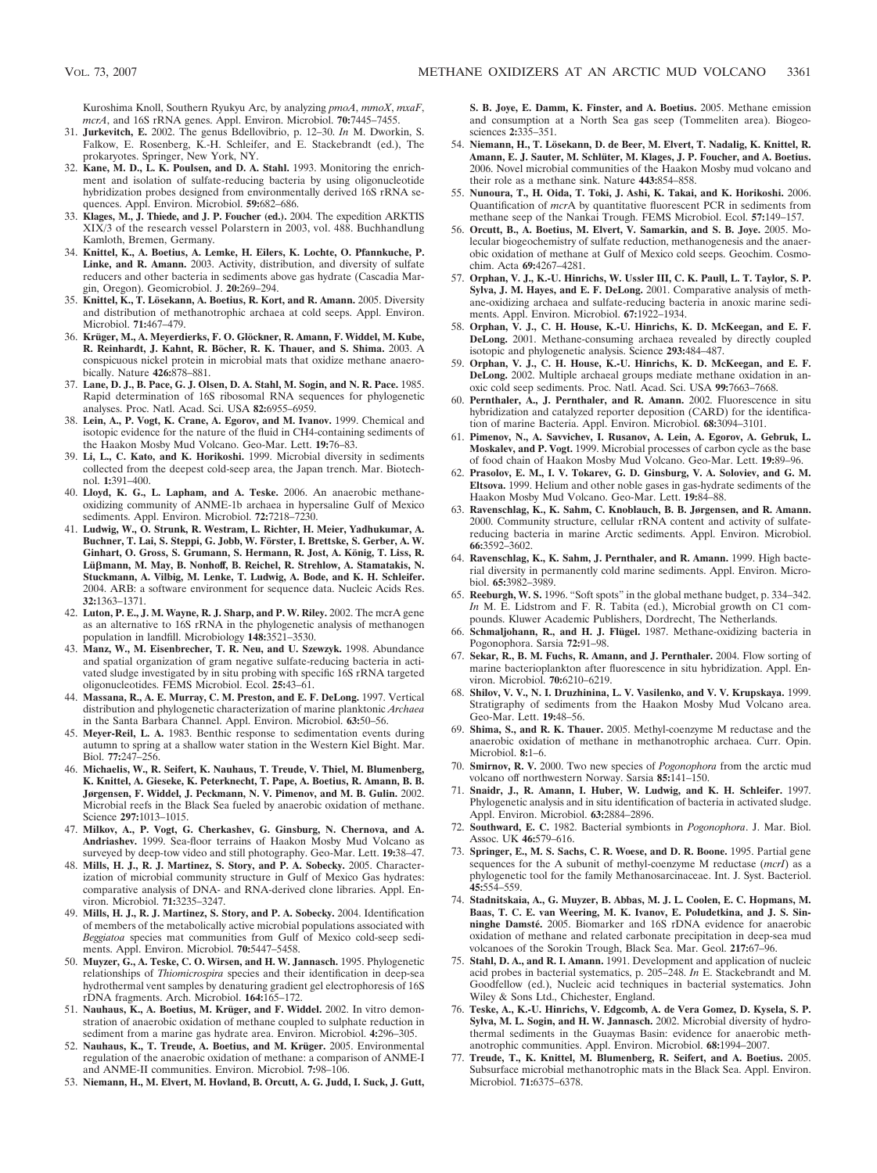Kuroshima Knoll, Southern Ryukyu Arc, by analyzing *pmoA*, *mmoX*, *mxaF*, *mcrA*, and 16S rRNA genes. Appl. Environ. Microbiol. **70:**7445–7455.

- 31. **Jurkevitch, E.** 2002. The genus Bdellovibrio, p. 12–30. *In* M. Dworkin, S. Falkow, E. Rosenberg, K.-H. Schleifer, and E. Stackebrandt (ed.), The prokaryotes. Springer, New York, NY.
- 32. **Kane, M. D., L. K. Poulsen, and D. A. Stahl.** 1993. Monitoring the enrichment and isolation of sulfate-reducing bacteria by using oligonucleotide hybridization probes designed from environmentally derived 16S rRNA sequences. Appl. Environ. Microbiol. **59:**682–686.
- 33. **Klages, M., J. Thiede, and J. P. Foucher (ed.).** 2004. The expedition ARKTIS XIX/3 of the research vessel Polarstern in 2003, vol. 488. Buchhandlung Kamloth, Bremen, Germany.
- 34. **Knittel, K., A. Boetius, A. Lemke, H. Eilers, K. Lochte, O. Pfannkuche, P. Linke, and R. Amann.** 2003. Activity, distribution, and diversity of sulfate reducers and other bacteria in sediments above gas hydrate (Cascadia Margin, Oregon). Geomicrobiol. J. **20:**269–294.
- 35. Knittel, K., T. Lösekann, A. Boetius, R. Kort, and R. Amann. 2005. Diversity and distribution of methanotrophic archaea at cold seeps. Appl. Environ. Microbiol. **71:**467–479.
- 36. Krüger, M., A. Meyerdierks, F. O. Glöckner, R. Amann, F. Widdel, M. Kube, **R. Reinhardt, J. Kahnt, R. Bo¨cher, R. K. Thauer, and S. Shima.** 2003. A conspicuous nickel protein in microbial mats that oxidize methane anaerobically. Nature **426:**878–881.
- 37. **Lane, D. J., B. Pace, G. J. Olsen, D. A. Stahl, M. Sogin, and N. R. Pace.** 1985. Rapid determination of 16S ribosomal RNA sequences for phylogenetic analyses. Proc. Natl. Acad. Sci. USA **82:**6955–6959.
- 38. **Lein, A., P. Vogt, K. Crane, A. Egorov, and M. Ivanov.** 1999. Chemical and isotopic evidence for the nature of the fluid in CH4-containing sediments of the Haakon Mosby Mud Volcano. Geo-Mar. Lett. **19:**76–83.
- 39. **Li, L., C. Kato, and K. Horikoshi.** 1999. Microbial diversity in sediments collected from the deepest cold-seep area, the Japan trench. Mar. Biotechnol. **1:**391–400.
- 40. **Lloyd, K. G., L. Lapham, and A. Teske.** 2006. An anaerobic methaneoxidizing community of ANME-1b archaea in hypersaline Gulf of Mexico sediments. Appl. Environ. Microbiol. **72:**7218–7230.
- 41. **Ludwig, W., O. Strunk, R. Westram, L. Richter, H. Meier, Yadhukumar, A. Buchner, T. Lai, S. Steppi, G. Jobb, W. Fo¨rster, I. Brettske, S. Gerber, A. W.** Ginhart, O. Gross, S. Grumann, S. Hermann, R. Jost, A. König, T. Liss, R. Lüβmann, M. May, B. Nonhoff, B. Reichel, R. Strehlow, A. Stamatakis, N. **Stuckmann, A. Vilbig, M. Lenke, T. Ludwig, A. Bode, and K. H. Schleifer.** 2004. ARB: a software environment for sequence data. Nucleic Acids Res. **32:**1363–1371.
- 42. **Luton, P. E., J. M. Wayne, R. J. Sharp, and P. W. Riley.** 2002. The mcrA gene as an alternative to 16S rRNA in the phylogenetic analysis of methanogen population in landfill. Microbiology **148:**3521–3530.
- 43. **Manz, W., M. Eisenbrecher, T. R. Neu, and U. Szewzyk.** 1998. Abundance and spatial organization of gram negative sulfate-reducing bacteria in activated sludge investigated by in situ probing with specific 16S rRNA targeted oligonucleotides. FEMS Microbiol. Ecol. **25:**43–61.
- 44. **Massana, R., A. E. Murray, C. M. Preston, and E. F. DeLong.** 1997. Vertical distribution and phylogenetic characterization of marine planktonic *Archaea* in the Santa Barbara Channel. Appl. Environ. Microbiol. **63:**50–56.
- 45. **Meyer-Reil, L. A.** 1983. Benthic response to sedimentation events during autumn to spring at a shallow water station in the Western Kiel Bight. Mar. Biol. **77:**247–256.
- 46. **Michaelis, W., R. Seifert, K. Nauhaus, T. Treude, V. Thiel, M. Blumenberg, K. Knittel, A. Gieseke, K. Peterknecht, T. Pape, A. Boetius, R. Amann, B. B. Jørgensen, F. Widdel, J. Peckmann, N. V. Pimenov, and M. B. Gulin.** 2002. Microbial reefs in the Black Sea fueled by anaerobic oxidation of methane. Science **297:**1013–1015.
- 47. **Milkov, A., P. Vogt, G. Cherkashev, G. Ginsburg, N. Chernova, and A. Andriashev.** 1999. Sea-floor terrains of Haakon Mosby Mud Volcano as surveyed by deep-tow video and still photography. Geo-Mar. Lett. **19:**38–47.
- 48. **Mills, H. J., R. J. Martinez, S. Story, and P. A. Sobecky.** 2005. Characterization of microbial community structure in Gulf of Mexico Gas hydrates: comparative analysis of DNA- and RNA-derived clone libraries. Appl. Environ. Microbiol. **71:**3235–3247.
- 49. **Mills, H. J., R. J. Martinez, S. Story, and P. A. Sobecky.** 2004. Identification of members of the metabolically active microbial populations associated with *Beggiatoa* species mat communities from Gulf of Mexico cold-seep sediments. Appl. Environ. Microbiol. **70:**5447–5458.
- 50. **Muyzer, G., A. Teske, C. O. Wirsen, and H. W. Jannasch.** 1995. Phylogenetic relationships of *Thiomicrospira* species and their identification in deep-sea hydrothermal vent samples by denaturing gradient gel electrophoresis of 16S rDNA fragments. Arch. Microbiol. **164:**165–172.
- 51. Nauhaus, K., A. Boetius, M. Krüger, and F. Widdel. 2002. In vitro demonstration of anaerobic oxidation of methane coupled to sulphate reduction in sediment from a marine gas hydrate area. Environ. Microbiol. **4:**296–305.
- 52. Nauhaus, K., T. Treude, A. Boetius, and M. Krüger. 2005. Environmental regulation of the anaerobic oxidation of methane: a comparison of ANME-I and ANME-II communities. Environ. Microbiol. **7:**98–106.
- 53. **Niemann, H., M. Elvert, M. Hovland, B. Orcutt, A. G. Judd, I. Suck, J. Gutt,**

**S. B. Joye, E. Damm, K. Finster, and A. Boetius.** 2005. Methane emission and consumption at a North Sea gas seep (Tommeliten area). Biogeosciences **2:**335–351.

- 54. Niemann, H., T. Lösekann, D. de Beer, M. Elvert, T. Nadalig, K. Knittel, R. Amann, E. J. Sauter, M. Schlüter, M. Klages, J. P. Foucher, and A. Boetius. 2006. Novel microbial communities of the Haakon Mosby mud volcano and their role as a methane sink. Nature **443:**854–858.
- 55. **Nunoura, T., H. Oida, T. Toki, J. Ashi, K. Takai, and K. Horikoshi.** 2006. Quantification of *mcr*A by quantitative fluorescent PCR in sediments from methane seep of the Nankai Trough. FEMS Microbiol. Ecol. **57:**149–157.
- 56. **Orcutt, B., A. Boetius, M. Elvert, V. Samarkin, and S. B. Joye.** 2005. Molecular biogeochemistry of sulfate reduction, methanogenesis and the anaerobic oxidation of methane at Gulf of Mexico cold seeps. Geochim. Cosmochim. Acta **69:**4267–4281.
- 57. **Orphan, V. J., K.-U. Hinrichs, W. Ussler III, C. K. Paull, L. T. Taylor, S. P. Sylva, J. M. Hayes, and E. F. DeLong.** 2001. Comparative analysis of methane-oxidizing archaea and sulfate-reducing bacteria in anoxic marine sediments. Appl. Environ. Microbiol. **67:**1922–1934.
- 58. **Orphan, V. J., C. H. House, K.-U. Hinrichs, K. D. McKeegan, and E. F. DeLong.** 2001. Methane-consuming archaea revealed by directly coupled isotopic and phylogenetic analysis. Science **293:**484–487.
- 59. **Orphan, V. J., C. H. House, K.-U. Hinrichs, K. D. McKeegan, and E. F. DeLong.** 2002. Multiple archaeal groups mediate methane oxidation in anoxic cold seep sediments. Proc. Natl. Acad. Sci. USA **99:**7663–7668.
- 60. **Pernthaler, A., J. Pernthaler, and R. Amann.** 2002. Fluorescence in situ hybridization and catalyzed reporter deposition (CARD) for the identification of marine Bacteria. Appl. Environ. Microbiol. **68:**3094–3101.
- 61. **Pimenov, N., A. Savvichev, I. Rusanov, A. Lein, A. Egorov, A. Gebruk, L. Moskalev, and P. Vogt.** 1999. Microbial processes of carbon cycle as the base of food chain of Haakon Mosby Mud Volcano. Geo-Mar. Lett. **19:**89–96.
- 62. **Prasolov, E. M., I. V. Tokarev, G. D. Ginsburg, V. A. Soloviev, and G. M. Eltsova.** 1999. Helium and other noble gases in gas-hydrate sediments of the Haakon Mosby Mud Volcano. Geo-Mar. Lett. **19:**84–88.
- 63. **Ravenschlag, K., K. Sahm, C. Knoblauch, B. B. Jørgensen, and R. Amann.** 2000. Community structure, cellular rRNA content and activity of sulfatereducing bacteria in marine Arctic sediments. Appl. Environ. Microbiol. **66:**3592–3602.
- 64. **Ravenschlag, K., K. Sahm, J. Pernthaler, and R. Amann.** 1999. High bacterial diversity in permanently cold marine sediments. Appl. Environ. Microbiol. **65:**3982–3989.
- 65. **Reeburgh, W. S.** 1996. "Soft spots" in the global methane budget, p. 334–342. *In* M. E. Lidstrom and F. R. Tabita (ed.), Microbial growth on C1 compounds. Kluwer Academic Publishers, Dordrecht, The Netherlands.
- 66. Schmaljohann, R., and H. J. Flügel. 1987. Methane-oxidizing bacteria in Pogonophora. Sarsia **72:**91–98.
- 67. **Sekar, R., B. M. Fuchs, R. Amann, and J. Pernthaler.** 2004. Flow sorting of marine bacterioplankton after fluorescence in situ hybridization. Appl. Environ. Microbiol. **70:**6210–6219.
- 68. **Shilov, V. V., N. I. Druzhinina, L. V. Vasilenko, and V. V. Krupskaya.** 1999. Stratigraphy of sediments from the Haakon Mosby Mud Volcano area. Geo-Mar. Lett. **19:**48–56.
- 69. **Shima, S., and R. K. Thauer.** 2005. Methyl-coenzyme M reductase and the anaerobic oxidation of methane in methanotrophic archaea. Curr. Opin. Microbiol. **8:**1–6.
- 70. **Smirnov, R. V.** 2000. Two new species of *Pogonophora* from the arctic mud volcano off northwestern Norway. Sarsia **85:**141–150.
- 71. **Snaidr, J., R. Amann, I. Huber, W. Ludwig, and K. H. Schleifer.** 1997. Phylogenetic analysis and in situ identification of bacteria in activated sludge. Appl. Environ. Microbiol. **63:**2884–2896.
- 72. **Southward, E. C.** 1982. Bacterial symbionts in *Pogonophora*. J. Mar. Biol. Assoc. UK **46:**579–616.
- 73. **Springer, E., M. S. Sachs, C. R. Woese, and D. R. Boone.** 1995. Partial gene sequences for the A subunit of methyl-coenzyme M reductase (*mcrI*) as a phylogenetic tool for the family Methanosarcinaceae. Int. J. Syst. Bacteriol. **45:**554–559.
- 74. **Stadnitskaia, A., G. Muyzer, B. Abbas, M. J. L. Coolen, E. C. Hopmans, M. Baas, T. C. E. van Weering, M. K. Ivanov, E. Poludetkina, and J. S. Sinninghe Damste´.** 2005. Biomarker and 16S rDNA evidence for anaerobic oxidation of methane and related carbonate precipitation in deep-sea mud volcanoes of the Sorokin Trough, Black Sea. Mar. Geol. **217:**67–96.
- 75. **Stahl, D. A., and R. I. Amann.** 1991. Development and application of nucleic acid probes in bacterial systematics, p. 205–248. *In* E. Stackebrandt and M. Goodfellow (ed.), Nucleic acid techniques in bacterial systematics. John Wiley & Sons Ltd., Chichester, England.
- 76. **Teske, A., K.-U. Hinrichs, V. Edgcomb, A. de Vera Gomez, D. Kysela, S. P. Sylva, M. L. Sogin, and H. W. Jannasch.** 2002. Microbial diversity of hydrothermal sediments in the Guaymas Basin: evidence for anaerobic methanotrophic communities. Appl. Environ. Microbiol. **68:**1994–2007.
- 77. **Treude, T., K. Knittel, M. Blumenberg, R. Seifert, and A. Boetius.** 2005. Subsurface microbial methanotrophic mats in the Black Sea. Appl. Environ. Microbiol. **71:**6375–6378.